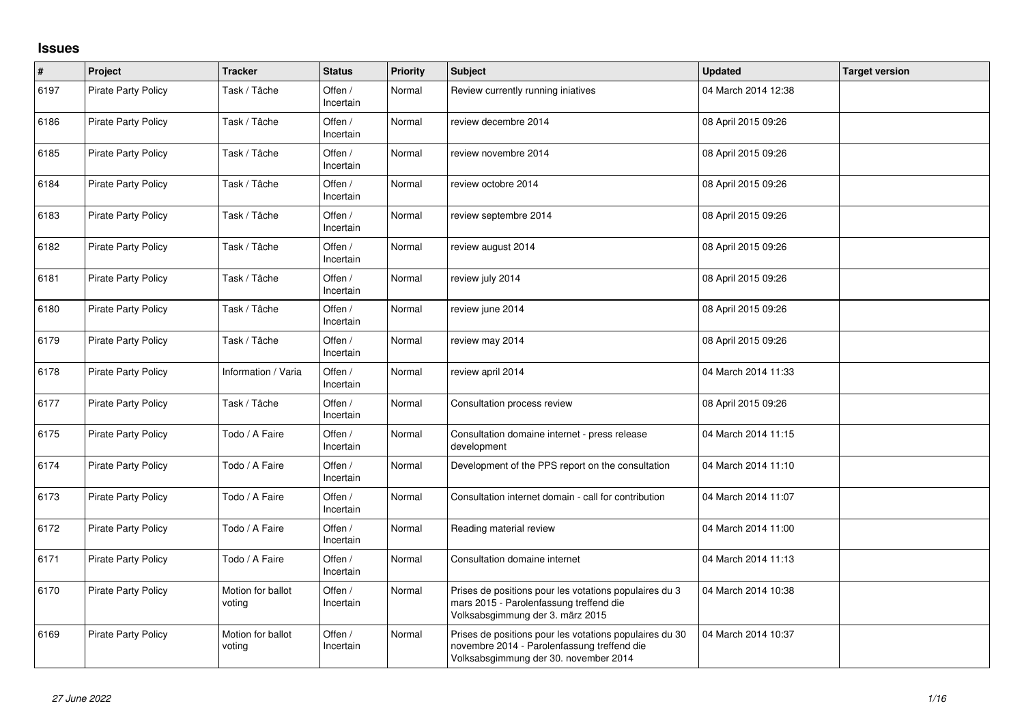## **Issues**

| $\sharp$ | Project                    | <b>Tracker</b>              | <b>Status</b>        | <b>Priority</b> | <b>Subject</b>                                                                                                                                  | <b>Updated</b>      | <b>Target version</b> |
|----------|----------------------------|-----------------------------|----------------------|-----------------|-------------------------------------------------------------------------------------------------------------------------------------------------|---------------------|-----------------------|
| 6197     | <b>Pirate Party Policy</b> | Task / Tâche                | Offen /<br>Incertain | Normal          | Review currently running iniatives                                                                                                              | 04 March 2014 12:38 |                       |
| 6186     | Pirate Party Policy        | Task / Tâche                | Offen /<br>Incertain | Normal          | review decembre 2014                                                                                                                            | 08 April 2015 09:26 |                       |
| 6185     | <b>Pirate Party Policy</b> | Task / Tâche                | Offen /<br>Incertain | Normal          | review novembre 2014                                                                                                                            | 08 April 2015 09:26 |                       |
| 6184     | <b>Pirate Party Policy</b> | Task / Tâche                | Offen /<br>Incertain | Normal          | review octobre 2014                                                                                                                             | 08 April 2015 09:26 |                       |
| 6183     | Pirate Party Policy        | Task / Tâche                | Offen /<br>Incertain | Normal          | review septembre 2014                                                                                                                           | 08 April 2015 09:26 |                       |
| 6182     | <b>Pirate Party Policy</b> | Task / Tâche                | Offen /<br>Incertain | Normal          | review august 2014                                                                                                                              | 08 April 2015 09:26 |                       |
| 6181     | <b>Pirate Party Policy</b> | Task / Tâche                | Offen /<br>Incertain | Normal          | review july 2014                                                                                                                                | 08 April 2015 09:26 |                       |
| 6180     | <b>Pirate Party Policy</b> | Task / Tâche                | Offen /<br>Incertain | Normal          | review june 2014                                                                                                                                | 08 April 2015 09:26 |                       |
| 6179     | Pirate Party Policy        | Task / Tâche                | Offen /<br>Incertain | Normal          | review may 2014                                                                                                                                 | 08 April 2015 09:26 |                       |
| 6178     | <b>Pirate Party Policy</b> | Information / Varia         | Offen /<br>Incertain | Normal          | review april 2014                                                                                                                               | 04 March 2014 11:33 |                       |
| 6177     | <b>Pirate Party Policy</b> | Task / Tâche                | Offen /<br>Incertain | Normal          | Consultation process review                                                                                                                     | 08 April 2015 09:26 |                       |
| 6175     | <b>Pirate Party Policy</b> | Todo / A Faire              | Offen /<br>Incertain | Normal          | Consultation domaine internet - press release<br>development                                                                                    | 04 March 2014 11:15 |                       |
| 6174     | <b>Pirate Party Policy</b> | Todo / A Faire              | Offen /<br>Incertain | Normal          | Development of the PPS report on the consultation                                                                                               | 04 March 2014 11:10 |                       |
| 6173     | Pirate Party Policy        | Todo / A Faire              | Offen /<br>Incertain | Normal          | Consultation internet domain - call for contribution                                                                                            | 04 March 2014 11:07 |                       |
| 6172     | Pirate Party Policy        | Todo / A Faire              | Offen /<br>Incertain | Normal          | Reading material review                                                                                                                         | 04 March 2014 11:00 |                       |
| 6171     | Pirate Party Policy        | Todo / A Faire              | Offen /<br>Incertain | Normal          | Consultation domaine internet                                                                                                                   | 04 March 2014 11:13 |                       |
| 6170     | <b>Pirate Party Policy</b> | Motion for ballot<br>voting | Offen /<br>Incertain | Normal          | Prises de positions pour les votations populaires du 3<br>mars 2015 - Parolenfassung treffend die<br>Volksabsgimmung der 3. märz 2015           | 04 March 2014 10:38 |                       |
| 6169     | Pirate Party Policy        | Motion for ballot<br>voting | Offen /<br>Incertain | Normal          | Prises de positions pour les votations populaires du 30<br>novembre 2014 - Parolenfassung treffend die<br>Volksabsgimmung der 30. november 2014 | 04 March 2014 10:37 |                       |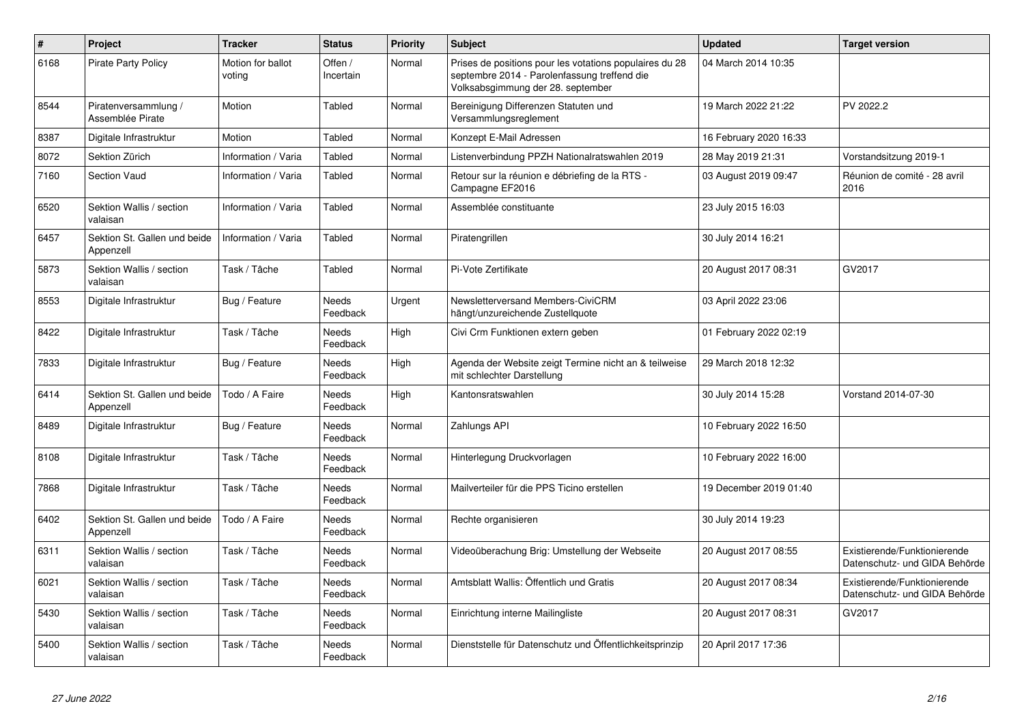| $\pmb{\#}$ | Project                                   | <b>Tracker</b>              | <b>Status</b>            | <b>Priority</b> | <b>Subject</b>                                                                                                                               | <b>Updated</b>         | <b>Target version</b>                                         |
|------------|-------------------------------------------|-----------------------------|--------------------------|-----------------|----------------------------------------------------------------------------------------------------------------------------------------------|------------------------|---------------------------------------------------------------|
| 6168       | <b>Pirate Party Policy</b>                | Motion for ballot<br>voting | Offen /<br>Incertain     | Normal          | Prises de positions pour les votations populaires du 28<br>septembre 2014 - Parolenfassung treffend die<br>Volksabsgimmung der 28. september | 04 March 2014 10:35    |                                                               |
| 8544       | Piratenversammlung /<br>Assemblée Pirate  | Motion                      | Tabled                   | Normal          | Bereinigung Differenzen Statuten und<br>Versammlungsreglement                                                                                | 19 March 2022 21:22    | PV 2022.2                                                     |
| 8387       | Digitale Infrastruktur                    | Motion                      | Tabled                   | Normal          | Konzept E-Mail Adressen                                                                                                                      | 16 February 2020 16:33 |                                                               |
| 8072       | Sektion Zürich                            | Information / Varia         | Tabled                   | Normal          | Listenverbindung PPZH Nationalratswahlen 2019                                                                                                | 28 May 2019 21:31      | Vorstandsitzung 2019-1                                        |
| 7160       | <b>Section Vaud</b>                       | Information / Varia         | Tabled                   | Normal          | Retour sur la réunion e débriefing de la RTS -<br>Campagne EF2016                                                                            | 03 August 2019 09:47   | Réunion de comité - 28 avril<br>2016                          |
| 6520       | Sektion Wallis / section<br>valaisan      | Information / Varia         | Tabled                   | Normal          | Assemblée constituante                                                                                                                       | 23 July 2015 16:03     |                                                               |
| 6457       | Sektion St. Gallen und beide<br>Appenzell | Information / Varia         | Tabled                   | Normal          | Piratengrillen                                                                                                                               | 30 July 2014 16:21     |                                                               |
| 5873       | Sektion Wallis / section<br>valaisan      | Task / Tâche                | Tabled                   | Normal          | Pi-Vote Zertifikate                                                                                                                          | 20 August 2017 08:31   | GV2017                                                        |
| 8553       | Digitale Infrastruktur                    | Bug / Feature               | <b>Needs</b><br>Feedback | Urgent          | Newsletterversand Members-CiviCRM<br>hängt/unzureichende Zustellquote                                                                        | 03 April 2022 23:06    |                                                               |
| 8422       | Digitale Infrastruktur                    | Task / Tâche                | <b>Needs</b><br>Feedback | High            | Civi Crm Funktionen extern geben                                                                                                             | 01 February 2022 02:19 |                                                               |
| 7833       | Digitale Infrastruktur                    | Bug / Feature               | Needs<br>Feedback        | High            | Agenda der Website zeigt Termine nicht an & teilweise<br>mit schlechter Darstellung                                                          | 29 March 2018 12:32    |                                                               |
| 6414       | Sektion St. Gallen und beide<br>Appenzell | Todo / A Faire              | Needs<br>Feedback        | High            | Kantonsratswahlen                                                                                                                            | 30 July 2014 15:28     | Vorstand 2014-07-30                                           |
| 8489       | Digitale Infrastruktur                    | Bug / Feature               | Needs<br>Feedback        | Normal          | Zahlungs API                                                                                                                                 | 10 February 2022 16:50 |                                                               |
| 8108       | Digitale Infrastruktur                    | Task / Tâche                | Needs<br>Feedback        | Normal          | Hinterlegung Druckvorlagen                                                                                                                   | 10 February 2022 16:00 |                                                               |
| 7868       | Digitale Infrastruktur                    | Task / Tâche                | <b>Needs</b><br>Feedback | Normal          | Mailverteiler für die PPS Ticino erstellen                                                                                                   | 19 December 2019 01:40 |                                                               |
| 6402       | Sektion St. Gallen und beide<br>Appenzell | Todo / A Faire              | Needs<br>Feedback        | Normal          | Rechte organisieren                                                                                                                          | 30 July 2014 19:23     |                                                               |
| 6311       | Sektion Wallis / section<br>valaisan      | Task / Tâche                | Needs<br>Feedback        | Normal          | Videoüberachung Brig: Umstellung der Webseite                                                                                                | 20 August 2017 08:55   | Existierende/Funktionierende<br>Datenschutz- und GIDA Behörde |
| 6021       | Sektion Wallis / section<br>valaisan      | Task / Tâche                | <b>Needs</b><br>Feedback | Normal          | Amtsblatt Wallis: Öffentlich und Gratis                                                                                                      | 20 August 2017 08:34   | Existierende/Funktionierende<br>Datenschutz- und GIDA Behörde |
| 5430       | Sektion Wallis / section<br>valaisan      | Task / Tâche                | Needs<br>Feedback        | Normal          | Einrichtung interne Mailingliste                                                                                                             | 20 August 2017 08:31   | GV2017                                                        |
| 5400       | Sektion Wallis / section<br>valaisan      | Task / Tâche                | Needs<br>Feedback        | Normal          | Dienststelle für Datenschutz und Öffentlichkeitsprinzip                                                                                      | 20 April 2017 17:36    |                                                               |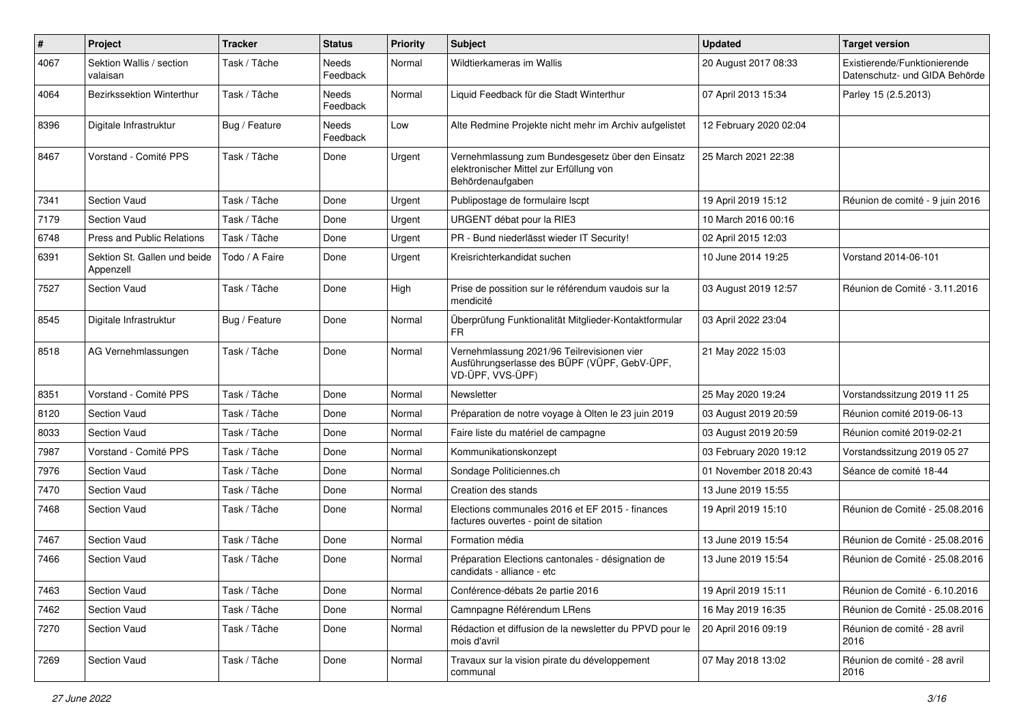| $\#$ | Project                                   | <b>Tracker</b> | <b>Status</b>     | <b>Priority</b> | Subject                                                                                                         | <b>Updated</b>         | <b>Target version</b>                                         |
|------|-------------------------------------------|----------------|-------------------|-----------------|-----------------------------------------------------------------------------------------------------------------|------------------------|---------------------------------------------------------------|
| 4067 | Sektion Wallis / section<br>valaisan      | Task / Tâche   | Needs<br>Feedback | Normal          | Wildtierkameras im Wallis                                                                                       | 20 August 2017 08:33   | Existierende/Funktionierende<br>Datenschutz- und GIDA Behörde |
| 4064 | Bezirkssektion Winterthur                 | Task / Tâche   | Needs<br>Feedback | Normal          | Liquid Feedback für die Stadt Winterthur                                                                        | 07 April 2013 15:34    | Parley 15 (2.5.2013)                                          |
| 8396 | Digitale Infrastruktur                    | Bug / Feature  | Needs<br>Feedback | Low             | Alte Redmine Projekte nicht mehr im Archiv aufgelistet                                                          | 12 February 2020 02:04 |                                                               |
| 8467 | Vorstand - Comité PPS                     | Task / Tâche   | Done              | Urgent          | Vernehmlassung zum Bundesgesetz über den Einsatz<br>elektronischer Mittel zur Erfüllung von<br>Behördenaufgaben | 25 March 2021 22:38    |                                                               |
| 7341 | <b>Section Vaud</b>                       | Task / Tâche   | Done              | Urgent          | Publipostage de formulaire Iscpt                                                                                | 19 April 2019 15:12    | Réunion de comité - 9 juin 2016                               |
| 7179 | <b>Section Vaud</b>                       | Task / Tâche   | Done              | Urgent          | URGENT débat pour la RIE3                                                                                       | 10 March 2016 00:16    |                                                               |
| 6748 | Press and Public Relations                | Task / Tâche   | Done              | Urgent          | PR - Bund niederlässt wieder IT Security!                                                                       | 02 April 2015 12:03    |                                                               |
| 6391 | Sektion St. Gallen und beide<br>Appenzell | Todo / A Faire | Done              | Urgent          | Kreisrichterkandidat suchen                                                                                     | 10 June 2014 19:25     | Vorstand 2014-06-101                                          |
| 7527 | <b>Section Vaud</b>                       | Task / Tâche   | Done              | High            | Prise de possition sur le référendum vaudois sur la<br>mendicité                                                | 03 August 2019 12:57   | Réunion de Comité - 3.11.2016                                 |
| 8545 | Digitale Infrastruktur                    | Bug / Feature  | Done              | Normal          | Überprüfung Funktionalität Mitglieder-Kontaktformular<br>FR                                                     | 03 April 2022 23:04    |                                                               |
| 8518 | AG Vernehmlassungen                       | Task / Tâche   | Done              | Normal          | Vernehmlassung 2021/96 Teilrevisionen vier<br>Ausführungserlasse des BÜPF (VÜPF, GebV-ÜPF,<br>VD-ÜPF, VVS-ÜPF)  | 21 May 2022 15:03      |                                                               |
| 8351 | Vorstand - Comité PPS                     | Task / Tâche   | Done              | Normal          | Newsletter                                                                                                      | 25 May 2020 19:24      | Vorstandssitzung 2019 11 25                                   |
| 8120 | <b>Section Vaud</b>                       | Task / Tâche   | Done              | Normal          | Préparation de notre voyage à Olten le 23 juin 2019                                                             | 03 August 2019 20:59   | Réunion comité 2019-06-13                                     |
| 8033 | <b>Section Vaud</b>                       | Task / Tâche   | Done              | Normal          | Faire liste du matériel de campagne                                                                             | 03 August 2019 20:59   | Réunion comité 2019-02-21                                     |
| 7987 | Vorstand - Comité PPS                     | Task / Tâche   | Done              | Normal          | Kommunikationskonzept                                                                                           | 03 February 2020 19:12 | Vorstandssitzung 2019 05 27                                   |
| 7976 | <b>Section Vaud</b>                       | Task / Tâche   | Done              | Normal          | Sondage Politiciennes.ch                                                                                        | 01 November 2018 20:43 | Séance de comité 18-44                                        |
| 7470 | Section Vaud                              | Task / Tâche   | Done              | Normal          | Creation des stands                                                                                             | 13 June 2019 15:55     |                                                               |
| 7468 | <b>Section Vaud</b>                       | Task / Tâche   | Done              | Normal          | Elections communales 2016 et EF 2015 - finances<br>factures ouvertes - point de sitation                        | 19 April 2019 15:10    | Réunion de Comité - 25.08.2016                                |
| 7467 | Section Vaud                              | Task / Tâche   | Done              | Normal          | Formation média                                                                                                 | 13 June 2019 15:54     | Réunion de Comité - 25.08.2016                                |
| 7466 | <b>Section Vaud</b>                       | Task / Tâche   | Done              | Normal          | Préparation Elections cantonales - désignation de<br>candidats - alliance - etc                                 | 13 June 2019 15:54     | Réunion de Comité - 25.08.2016                                |
| 7463 | Section Vaud                              | Task / Tâche   | Done              | Normal          | Conférence-débats 2e partie 2016                                                                                | 19 April 2019 15:11    | Réunion de Comité - 6.10.2016                                 |
| 7462 | Section Vaud                              | Task / Tâche   | Done              | Normal          | Camnpagne Référendum LRens                                                                                      | 16 May 2019 16:35      | Réunion de Comité - 25.08.2016                                |
| 7270 | Section Vaud                              | Task / Tâche   | Done              | Normal          | Rédaction et diffusion de la newsletter du PPVD pour le<br>mois d'avril                                         | 20 April 2016 09:19    | Réunion de comité - 28 avril<br>2016                          |
| 7269 | Section Vaud                              | Task / Tâche   | Done              | Normal          | Travaux sur la vision pirate du développement<br>communal                                                       | 07 May 2018 13:02      | Réunion de comité - 28 avril<br>2016                          |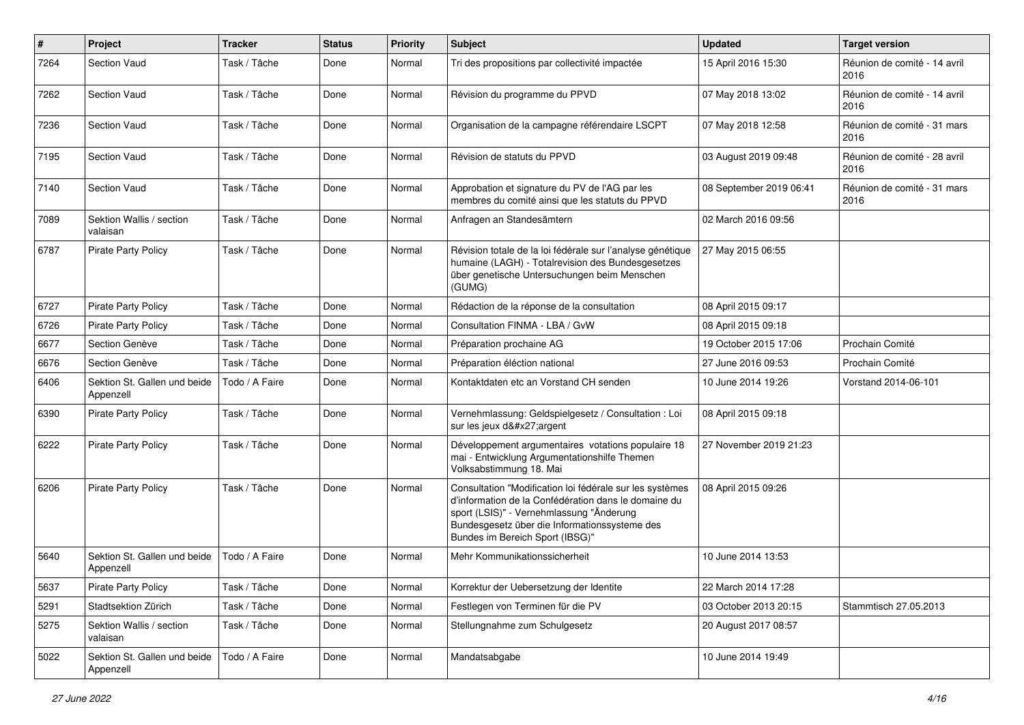| $\pmb{\#}$ | Project                                   | <b>Tracker</b> | <b>Status</b> | <b>Priority</b> | Subject                                                                                                                                                                                                                                          | <b>Updated</b>          | <b>Target version</b>                |
|------------|-------------------------------------------|----------------|---------------|-----------------|--------------------------------------------------------------------------------------------------------------------------------------------------------------------------------------------------------------------------------------------------|-------------------------|--------------------------------------|
| 7264       | <b>Section Vaud</b>                       | Task / Tâche   | Done          | Normal          | Tri des propositions par collectivité impactée                                                                                                                                                                                                   | 15 April 2016 15:30     | Réunion de comité - 14 avril<br>2016 |
| 7262       | Section Vaud                              | Task / Tâche   | Done          | Normal          | Révision du programme du PPVD                                                                                                                                                                                                                    | 07 May 2018 13:02       | Réunion de comité - 14 avril<br>2016 |
| 7236       | <b>Section Vaud</b>                       | Task / Tâche   | Done          | Normal          | Organisation de la campagne référendaire LSCPT                                                                                                                                                                                                   | 07 May 2018 12:58       | Réunion de comité - 31 mars<br>2016  |
| 7195       | Section Vaud                              | Task / Tâche   | Done          | Normal          | Révision de statuts du PPVD                                                                                                                                                                                                                      | 03 August 2019 09:48    | Réunion de comité - 28 avril<br>2016 |
| 7140       | <b>Section Vaud</b>                       | Task / Tâche   | Done          | Normal          | Approbation et signature du PV de l'AG par les<br>membres du comité ainsi que les statuts du PPVD                                                                                                                                                | 08 September 2019 06:41 | Réunion de comité - 31 mars<br>2016  |
| 7089       | Sektion Wallis / section<br>valaisan      | Task / Tâche   | Done          | Normal          | Anfragen an Standesämtern                                                                                                                                                                                                                        | 02 March 2016 09:56     |                                      |
| 6787       | <b>Pirate Party Policy</b>                | Task / Tâche   | Done          | Normal          | Révision totale de la loi fédérale sur l'analyse génétique<br>humaine (LAGH) - Totalrevision des Bundesgesetzes<br>über genetische Untersuchungen beim Menschen<br>(GUMG)                                                                        | 27 May 2015 06:55       |                                      |
| 6727       | <b>Pirate Party Policy</b>                | Task / Tâche   | Done          | Normal          | Rédaction de la réponse de la consultation                                                                                                                                                                                                       | 08 April 2015 09:17     |                                      |
| 6726       | <b>Pirate Party Policy</b>                | Task / Tâche   | Done          | Normal          | Consultation FINMA - LBA / GvW                                                                                                                                                                                                                   | 08 April 2015 09:18     |                                      |
| 6677       | Section Genève                            | Task / Tâche   | Done          | Normal          | Préparation prochaine AG                                                                                                                                                                                                                         | 19 October 2015 17:06   | Prochain Comité                      |
| 6676       | Section Genève                            | Task / Tâche   | Done          | Normal          | Préparation éléction national                                                                                                                                                                                                                    | 27 June 2016 09:53      | Prochain Comité                      |
| 6406       | Sektion St. Gallen und beide<br>Appenzell | Todo / A Faire | Done          | Normal          | Kontaktdaten etc an Vorstand CH senden                                                                                                                                                                                                           | 10 June 2014 19:26      | Vorstand 2014-06-101                 |
| 6390       | Pirate Party Policy                       | Task / Tâche   | Done          | Normal          | Vernehmlassung: Geldspielgesetz / Consultation : Loi<br>sur les jeux d'argent                                                                                                                                                                    | 08 April 2015 09:18     |                                      |
| 6222       | <b>Pirate Party Policy</b>                | Task / Tâche   | Done          | Normal          | Développement argumentaires votations populaire 18<br>mai - Entwicklung Argumentationshilfe Themen<br>Volksabstimmung 18. Mai                                                                                                                    | 27 November 2019 21:23  |                                      |
| 6206       | <b>Pirate Party Policy</b>                | Task / Tâche   | Done          | Normal          | Consultation "Modification loi fédérale sur les systèmes<br>d'information de la Confédération dans le domaine du<br>sport (LSIS)" - Vernehmlassung "Änderung<br>Bundesgesetz über die Informationssysteme des<br>Bundes im Bereich Sport (IBSG)" | 08 April 2015 09:26     |                                      |
| 5640       | Sektion St. Gallen und beide<br>Appenzell | Todo / A Faire | Done          | Normal          | Mehr Kommunikationssicherheit                                                                                                                                                                                                                    | 10 June 2014 13:53      |                                      |
| 5637       | Pirate Party Policy                       | Task / Tâche   | Done          | Normal          | Korrektur der Uebersetzung der Identite                                                                                                                                                                                                          | 22 March 2014 17:28     |                                      |
| 5291       | Stadtsektion Zürich                       | Task / Tâche   | Done          | Normal          | Festlegen von Terminen für die PV                                                                                                                                                                                                                | 03 October 2013 20:15   | Stammtisch 27.05.2013                |
| 5275       | Sektion Wallis / section<br>valaisan      | Task / Tâche   | Done          | Normal          | Stellungnahme zum Schulgesetz                                                                                                                                                                                                                    | 20 August 2017 08:57    |                                      |
| 5022       | Sektion St. Gallen und beide<br>Appenzell | Todo / A Faire | Done          | Normal          | Mandatsabgabe                                                                                                                                                                                                                                    | 10 June 2014 19:49      |                                      |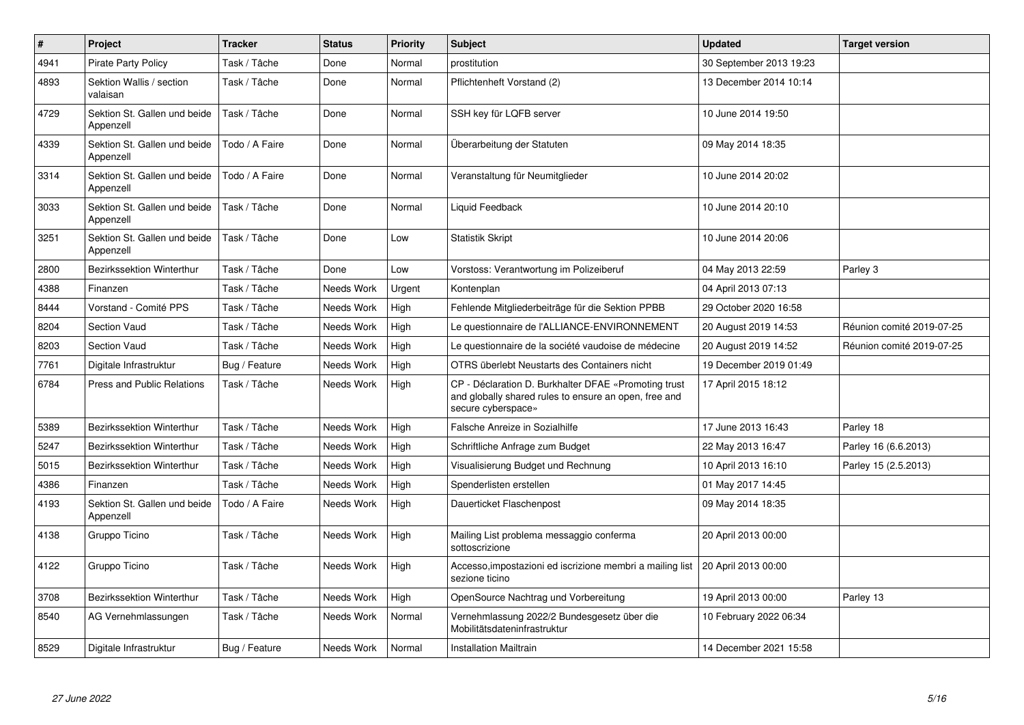| $\pmb{\#}$ | Project                                   | <b>Tracker</b> | <b>Status</b> | <b>Priority</b> | <b>Subject</b>                                                                                                                      | <b>Updated</b>          | <b>Target version</b>     |
|------------|-------------------------------------------|----------------|---------------|-----------------|-------------------------------------------------------------------------------------------------------------------------------------|-------------------------|---------------------------|
| 4941       | <b>Pirate Party Policy</b>                | Task / Tâche   | Done          | Normal          | prostitution                                                                                                                        | 30 September 2013 19:23 |                           |
| 4893       | Sektion Wallis / section<br>valaisan      | Task / Tâche   | Done          | Normal          | Pflichtenheft Vorstand (2)                                                                                                          | 13 December 2014 10:14  |                           |
| 4729       | Sektion St. Gallen und beide<br>Appenzell | Task / Tâche   | Done          | Normal          | SSH key für LQFB server                                                                                                             | 10 June 2014 19:50      |                           |
| 4339       | Sektion St. Gallen und beide<br>Appenzell | Todo / A Faire | Done          | Normal          | Überarbeitung der Statuten                                                                                                          | 09 May 2014 18:35       |                           |
| 3314       | Sektion St. Gallen und beide<br>Appenzell | Todo / A Faire | Done          | Normal          | Veranstaltung für Neumitglieder                                                                                                     | 10 June 2014 20:02      |                           |
| 3033       | Sektion St. Gallen und beide<br>Appenzell | Task / Tâche   | Done          | Normal          | Liquid Feedback                                                                                                                     | 10 June 2014 20:10      |                           |
| 3251       | Sektion St. Gallen und beide<br>Appenzell | Task / Tâche   | Done          | Low             | <b>Statistik Skript</b>                                                                                                             | 10 June 2014 20:06      |                           |
| 2800       | <b>Bezirkssektion Winterthur</b>          | Task / Tâche   | Done          | Low             | Vorstoss: Verantwortung im Polizeiberuf                                                                                             | 04 May 2013 22:59       | Parley 3                  |
| 4388       | Finanzen                                  | Task / Tâche   | Needs Work    | Urgent          | Kontenplan                                                                                                                          | 04 April 2013 07:13     |                           |
| 8444       | Vorstand - Comité PPS                     | Task / Tâche   | Needs Work    | High            | Fehlende Mitgliederbeiträge für die Sektion PPBB                                                                                    | 29 October 2020 16:58   |                           |
| 8204       | <b>Section Vaud</b>                       | Task / Tâche   | Needs Work    | High            | Le questionnaire de l'ALLIANCE-ENVIRONNEMENT                                                                                        | 20 August 2019 14:53    | Réunion comité 2019-07-25 |
| 8203       | <b>Section Vaud</b>                       | Task / Tâche   | Needs Work    | High            | Le questionnaire de la société vaudoise de médecine                                                                                 | 20 August 2019 14:52    | Réunion comité 2019-07-25 |
| 7761       | Digitale Infrastruktur                    | Bug / Feature  | Needs Work    | High            | OTRS überlebt Neustarts des Containers nicht                                                                                        | 19 December 2019 01:49  |                           |
| 6784       | <b>Press and Public Relations</b>         | Task / Tâche   | Needs Work    | High            | CP - Déclaration D. Burkhalter DFAE «Promoting trust<br>and globally shared rules to ensure an open, free and<br>secure cyberspace» | 17 April 2015 18:12     |                           |
| 5389       | Bezirkssektion Winterthur                 | Task / Tâche   | Needs Work    | High            | <b>Falsche Anreize in Sozialhilfe</b>                                                                                               | 17 June 2013 16:43      | Parley 18                 |
| 5247       | <b>Bezirkssektion Winterthur</b>          | Task / Tâche   | Needs Work    | High            | Schriftliche Anfrage zum Budget                                                                                                     | 22 May 2013 16:47       | Parley 16 (6.6.2013)      |
| 5015       | <b>Bezirkssektion Winterthur</b>          | Task / Tâche   | Needs Work    | High            | Visualisierung Budget und Rechnung                                                                                                  | 10 April 2013 16:10     | Parley 15 (2.5.2013)      |
| 4386       | Finanzen                                  | Task / Tâche   | Needs Work    | High            | Spenderlisten erstellen                                                                                                             | 01 May 2017 14:45       |                           |
| 4193       | Sektion St. Gallen und beide<br>Appenzell | Todo / A Faire | Needs Work    | High            | Dauerticket Flaschenpost                                                                                                            | 09 May 2014 18:35       |                           |
| 4138       | Gruppo Ticino                             | Task / Tâche   | Needs Work    | High            | Mailing List problema messaggio conferma<br>sottoscrizione                                                                          | 20 April 2013 00:00     |                           |
| 4122       | Gruppo Ticino                             | Task / Tâche   | Needs Work    | High            | Accesso, impostazioni ed iscrizione membri a mailing list   20 April 2013 00:00<br>sezione ticino                                   |                         |                           |
| 3708       | <b>Bezirkssektion Winterthur</b>          | Task / Tâche   | Needs Work    | High            | OpenSource Nachtrag und Vorbereitung                                                                                                | 19 April 2013 00:00     | Parley 13                 |
| 8540       | AG Vernehmlassungen                       | Task / Tâche   | Needs Work    | Normal          | Vernehmlassung 2022/2 Bundesgesetz über die<br>Mobilitätsdateninfrastruktur                                                         | 10 February 2022 06:34  |                           |
| 8529       | Digitale Infrastruktur                    | Bug / Feature  | Needs Work    | Normal          | <b>Installation Mailtrain</b>                                                                                                       | 14 December 2021 15:58  |                           |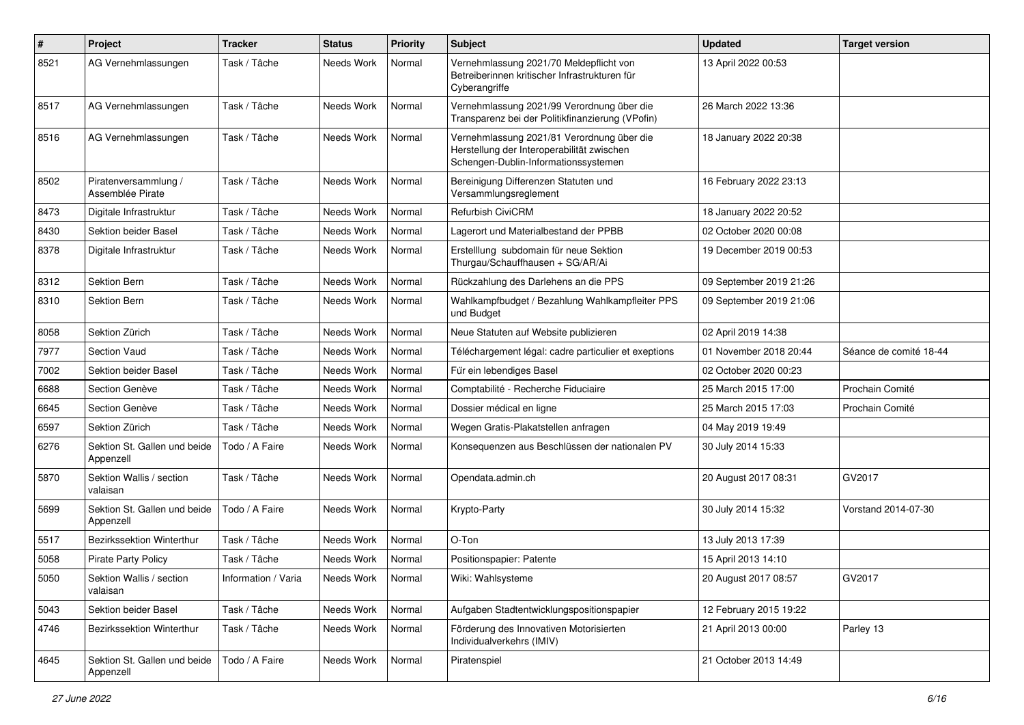| $\#$ | Project                                   | <b>Tracker</b>      | <b>Status</b> | <b>Priority</b> | <b>Subject</b>                                                                                                                   | <b>Updated</b>          | <b>Target version</b>  |
|------|-------------------------------------------|---------------------|---------------|-----------------|----------------------------------------------------------------------------------------------------------------------------------|-------------------------|------------------------|
| 8521 | AG Vernehmlassungen                       | Task / Tâche        | Needs Work    | Normal          | Vernehmlassung 2021/70 Meldepflicht von<br>Betreiberinnen kritischer Infrastrukturen für<br>Cyberangriffe                        | 13 April 2022 00:53     |                        |
| 8517 | AG Vernehmlassungen                       | Task / Tâche        | Needs Work    | Normal          | Vernehmlassung 2021/99 Verordnung über die<br>Transparenz bei der Politikfinanzierung (VPofin)                                   | 26 March 2022 13:36     |                        |
| 8516 | AG Vernehmlassungen                       | Task / Tâche        | Needs Work    | Normal          | Vernehmlassung 2021/81 Verordnung über die<br>Herstellung der Interoperabilität zwischen<br>Schengen-Dublin-Informationssystemen | 18 January 2022 20:38   |                        |
| 8502 | Piratenversammlung /<br>Assemblée Pirate  | Task / Tâche        | Needs Work    | Normal          | Bereinigung Differenzen Statuten und<br>Versammlungsreglement                                                                    | 16 February 2022 23:13  |                        |
| 8473 | Digitale Infrastruktur                    | Task / Tâche        | Needs Work    | Normal          | Refurbish CiviCRM                                                                                                                | 18 January 2022 20:52   |                        |
| 8430 | Sektion beider Basel                      | Task / Tâche        | Needs Work    | Normal          | Lagerort und Materialbestand der PPBB                                                                                            | 02 October 2020 00:08   |                        |
| 8378 | Digitale Infrastruktur                    | Task / Tâche        | Needs Work    | Normal          | Erstelllung subdomain für neue Sektion<br>Thurgau/Schauffhausen + SG/AR/Ai                                                       | 19 December 2019 00:53  |                        |
| 8312 | <b>Sektion Bern</b>                       | Task / Tâche        | Needs Work    | Normal          | Rückzahlung des Darlehens an die PPS                                                                                             | 09 September 2019 21:26 |                        |
| 8310 | <b>Sektion Bern</b>                       | Task / Tâche        | Needs Work    | Normal          | Wahlkampfbudget / Bezahlung Wahlkampfleiter PPS<br>und Budget                                                                    | 09 September 2019 21:06 |                        |
| 8058 | Sektion Zürich                            | Task / Tâche        | Needs Work    | Normal          | Neue Statuten auf Website publizieren                                                                                            | 02 April 2019 14:38     |                        |
| 7977 | Section Vaud                              | Task / Tâche        | Needs Work    | Normal          | Téléchargement légal: cadre particulier et exeptions                                                                             | 01 November 2018 20:44  | Séance de comité 18-44 |
| 7002 | Sektion beider Basel                      | Task / Tâche        | Needs Work    | Normal          | Für ein lebendiges Basel                                                                                                         | 02 October 2020 00:23   |                        |
| 6688 | Section Genève                            | Task / Tâche        | Needs Work    | Normal          | Comptabilité - Recherche Fiduciaire                                                                                              | 25 March 2015 17:00     | Prochain Comité        |
| 6645 | Section Genève                            | Task / Tâche        | Needs Work    | Normal          | Dossier médical en ligne                                                                                                         | 25 March 2015 17:03     | Prochain Comité        |
| 6597 | Sektion Zürich                            | Task / Tâche        | Needs Work    | Normal          | Wegen Gratis-Plakatstellen anfragen                                                                                              | 04 May 2019 19:49       |                        |
| 6276 | Sektion St. Gallen und beide<br>Appenzell | Todo / A Faire      | Needs Work    | Normal          | Konsequenzen aus Beschlüssen der nationalen PV                                                                                   | 30 July 2014 15:33      |                        |
| 5870 | Sektion Wallis / section<br>valaisan      | Task / Tâche        | Needs Work    | Normal          | Opendata.admin.ch                                                                                                                | 20 August 2017 08:31    | GV2017                 |
| 5699 | Sektion St. Gallen und beide<br>Appenzell | Todo / A Faire      | Needs Work    | Normal          | Krypto-Party                                                                                                                     | 30 July 2014 15:32      | Vorstand 2014-07-30    |
| 5517 | Bezirkssektion Winterthur                 | Task / Tâche        | Needs Work    | Normal          | O-Ton                                                                                                                            | 13 July 2013 17:39      |                        |
| 5058 | <b>Pirate Party Policy</b>                | Task / Tâche        | Needs Work    | Normal          | Positionspapier: Patente                                                                                                         | 15 April 2013 14:10     |                        |
| 5050 | Sektion Wallis / section<br>valaisan      | Information / Varia | Needs Work    | Normal          | Wiki: Wahlsysteme                                                                                                                | 20 August 2017 08:57    | GV2017                 |
| 5043 | Sektion beider Basel                      | Task / Tâche        | Needs Work    | Normal          | Aufgaben Stadtentwicklungspositionspapier                                                                                        | 12 February 2015 19:22  |                        |
| 4746 | Bezirkssektion Winterthur                 | Task / Tâche        | Needs Work    | Normal          | Förderung des Innovativen Motorisierten<br>Individualverkehrs (IMIV)                                                             | 21 April 2013 00:00     | Parley 13              |
| 4645 | Sektion St. Gallen und beide<br>Appenzell | Todo / A Faire      | Needs Work    | Normal          | Piratenspiel                                                                                                                     | 21 October 2013 14:49   |                        |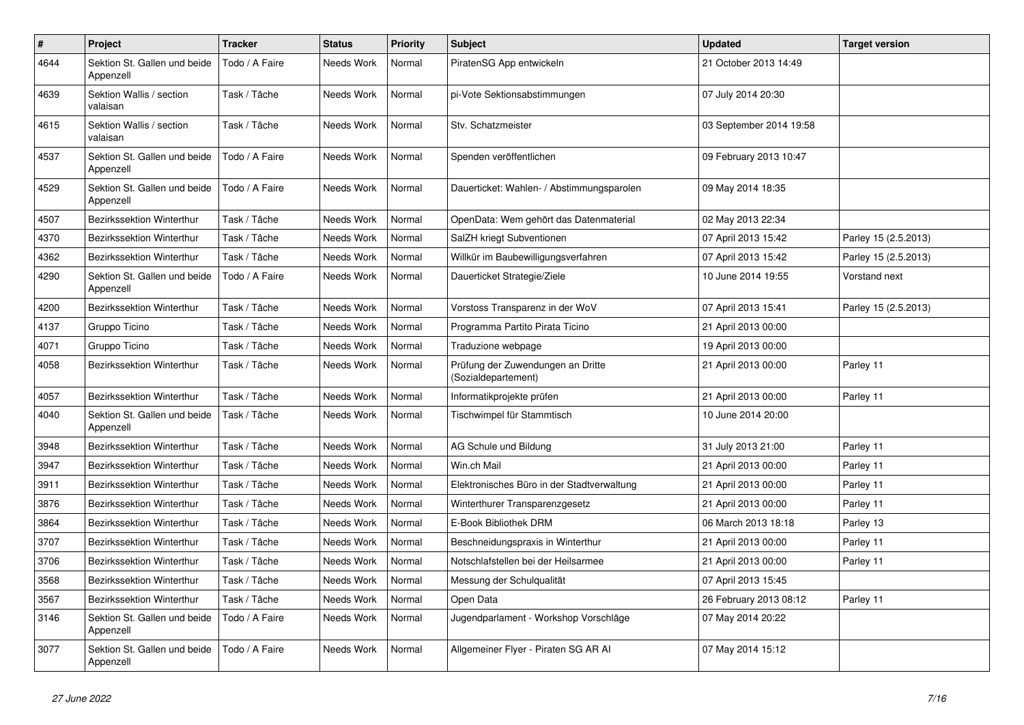| $\pmb{\#}$ | Project                                   | <b>Tracker</b> | <b>Status</b> | <b>Priority</b> | <b>Subject</b>                                           | <b>Updated</b>          | <b>Target version</b> |
|------------|-------------------------------------------|----------------|---------------|-----------------|----------------------------------------------------------|-------------------------|-----------------------|
| 4644       | Sektion St. Gallen und beide<br>Appenzell | Todo / A Faire | Needs Work    | Normal          | PiratenSG App entwickeln                                 | 21 October 2013 14:49   |                       |
| 4639       | Sektion Wallis / section<br>valaisan      | Task / Tâche   | Needs Work    | Normal          | pi-Vote Sektionsabstimmungen                             | 07 July 2014 20:30      |                       |
| 4615       | Sektion Wallis / section<br>valaisan      | Task / Tâche   | Needs Work    | Normal          | Stv. Schatzmeister                                       | 03 September 2014 19:58 |                       |
| 4537       | Sektion St. Gallen und beide<br>Appenzell | Todo / A Faire | Needs Work    | Normal          | Spenden veröffentlichen                                  | 09 February 2013 10:47  |                       |
| 4529       | Sektion St. Gallen und beide<br>Appenzell | Todo / A Faire | Needs Work    | Normal          | Dauerticket: Wahlen- / Abstimmungsparolen                | 09 May 2014 18:35       |                       |
| 4507       | Bezirkssektion Winterthur                 | Task / Tâche   | Needs Work    | Normal          | OpenData: Wem gehört das Datenmaterial                   | 02 May 2013 22:34       |                       |
| 4370       | Bezirkssektion Winterthur                 | Task / Tâche   | Needs Work    | Normal          | SalZH kriegt Subventionen                                | 07 April 2013 15:42     | Parley 15 (2.5.2013)  |
| 4362       | <b>Bezirkssektion Winterthur</b>          | Task / Tâche   | Needs Work    | Normal          | Willkür im Baubewilligungsverfahren                      | 07 April 2013 15:42     | Parley 15 (2.5.2013)  |
| 4290       | Sektion St. Gallen und beide<br>Appenzell | Todo / A Faire | Needs Work    | Normal          | Dauerticket Strategie/Ziele                              | 10 June 2014 19:55      | Vorstand next         |
| 4200       | <b>Bezirkssektion Winterthur</b>          | Task / Tâche   | Needs Work    | Normal          | Vorstoss Transparenz in der WoV                          | 07 April 2013 15:41     | Parley 15 (2.5.2013)  |
| 4137       | Gruppo Ticino                             | Task / Tâche   | Needs Work    | Normal          | Programma Partito Pirata Ticino                          | 21 April 2013 00:00     |                       |
| 4071       | Gruppo Ticino                             | Task / Tâche   | Needs Work    | Normal          | Traduzione webpage                                       | 19 April 2013 00:00     |                       |
| 4058       | Bezirkssektion Winterthur                 | Task / Tâche   | Needs Work    | Normal          | Prüfung der Zuwendungen an Dritte<br>(Sozialdepartement) | 21 April 2013 00:00     | Parley 11             |
| 4057       | Bezirkssektion Winterthur                 | Task / Tâche   | Needs Work    | Normal          | Informatikprojekte prüfen                                | 21 April 2013 00:00     | Parley 11             |
| 4040       | Sektion St. Gallen und beide<br>Appenzell | Task / Tâche   | Needs Work    | Normal          | Tischwimpel für Stammtisch                               | 10 June 2014 20:00      |                       |
| 3948       | <b>Bezirkssektion Winterthur</b>          | Task / Tâche   | Needs Work    | Normal          | AG Schule und Bildung                                    | 31 July 2013 21:00      | Parley 11             |
| 3947       | Bezirkssektion Winterthur                 | Task / Tâche   | Needs Work    | Normal          | Win.ch Mail                                              | 21 April 2013 00:00     | Parley 11             |
| 3911       | Bezirkssektion Winterthur                 | Task / Tâche   | Needs Work    | Normal          | Elektronisches Büro in der Stadtverwaltung               | 21 April 2013 00:00     | Parley 11             |
| 3876       | Bezirkssektion Winterthur                 | Task / Tâche   | Needs Work    | Normal          | Winterthurer Transparenzgesetz                           | 21 April 2013 00:00     | Parley 11             |
| 3864       | <b>Bezirkssektion Winterthur</b>          | Task / Tâche   | Needs Work    | Normal          | E-Book Bibliothek DRM                                    | 06 March 2013 18:18     | Parley 13             |
| 3707       | Bezirkssektion Winterthur                 | Task / Tâche   | Needs Work    | Normal          | Beschneidungspraxis in Winterthur                        | 21 April 2013 00:00     | Parley 11             |
| 3706       | Bezirkssektion Winterthur                 | Task / Tâche   | Needs Work    | Normal          | Notschlafstellen bei der Heilsarmee                      | 21 April 2013 00:00     | Parley 11             |
| 3568       | Bezirkssektion Winterthur                 | Task / Tâche   | Needs Work    | Normal          | Messung der Schulqualität                                | 07 April 2013 15:45     |                       |
| 3567       | Bezirkssektion Winterthur                 | Task / Tâche   | Needs Work    | Normal          | Open Data                                                | 26 February 2013 08:12  | Parley 11             |
| 3146       | Sektion St. Gallen und beide<br>Appenzell | Todo / A Faire | Needs Work    | Normal          | Jugendparlament - Workshop Vorschläge                    | 07 May 2014 20:22       |                       |
| 3077       | Sektion St. Gallen und beide<br>Appenzell | Todo / A Faire | Needs Work    | Normal          | Allgemeiner Flyer - Piraten SG AR AI                     | 07 May 2014 15:12       |                       |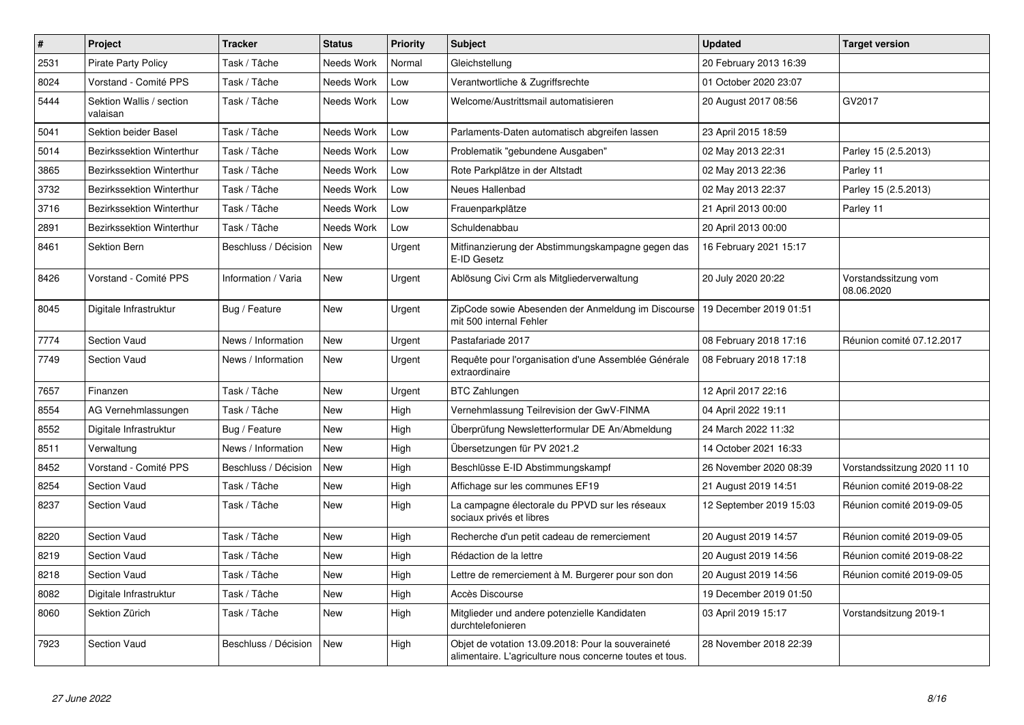| $\pmb{\#}$ | Project                              | <b>Tracker</b>       | <b>Status</b> | <b>Priority</b> | <b>Subject</b>                                                                                                 | <b>Updated</b>          | <b>Target version</b>              |
|------------|--------------------------------------|----------------------|---------------|-----------------|----------------------------------------------------------------------------------------------------------------|-------------------------|------------------------------------|
| 2531       | <b>Pirate Party Policy</b>           | Task / Tâche         | Needs Work    | Normal          | Gleichstellung                                                                                                 | 20 February 2013 16:39  |                                    |
| 8024       | Vorstand - Comité PPS                | Task / Tâche         | Needs Work    | Low             | Verantwortliche & Zugriffsrechte                                                                               | 01 October 2020 23:07   |                                    |
| 5444       | Sektion Wallis / section<br>valaisan | Task / Tâche         | Needs Work    | Low             | Welcome/Austrittsmail automatisieren                                                                           | 20 August 2017 08:56    | GV2017                             |
| 5041       | Sektion beider Basel                 | Task / Tâche         | Needs Work    | Low             | Parlaments-Daten automatisch abgreifen lassen                                                                  | 23 April 2015 18:59     |                                    |
| 5014       | Bezirkssektion Winterthur            | Task / Tâche         | Needs Work    | Low             | Problematik "gebundene Ausgaben"                                                                               | 02 May 2013 22:31       | Parley 15 (2.5.2013)               |
| 3865       | <b>Bezirkssektion Winterthur</b>     | Task / Tâche         | Needs Work    | Low             | Rote Parkplätze in der Altstadt                                                                                | 02 May 2013 22:36       | Parley 11                          |
| 3732       | Bezirkssektion Winterthur            | Task / Tâche         | Needs Work    | Low             | Neues Hallenbad                                                                                                | 02 May 2013 22:37       | Parley 15 (2.5.2013)               |
| 3716       | Bezirkssektion Winterthur            | Task / Tâche         | Needs Work    | Low             | Frauenparkplätze                                                                                               | 21 April 2013 00:00     | Parley 11                          |
| 2891       | Bezirkssektion Winterthur            | Task / Tâche         | Needs Work    | Low             | Schuldenabbau                                                                                                  | 20 April 2013 00:00     |                                    |
| 8461       | Sektion Bern                         | Beschluss / Décision | New           | Urgent          | Mitfinanzierung der Abstimmungskampagne gegen das<br>E-ID Gesetz                                               | 16 February 2021 15:17  |                                    |
| 8426       | Vorstand - Comité PPS                | Information / Varia  | New           | Urgent          | Ablösung Civi Crm als Mitgliederverwaltung                                                                     | 20 July 2020 20:22      | Vorstandssitzung vom<br>08.06.2020 |
| 8045       | Digitale Infrastruktur               | Bug / Feature        | New           | Urgent          | ZipCode sowie Abesenden der Anmeldung im Discourse   19 December 2019 01:51<br>mit 500 internal Fehler         |                         |                                    |
| 7774       | <b>Section Vaud</b>                  | News / Information   | <b>New</b>    | Urgent          | Pastafariade 2017                                                                                              | 08 February 2018 17:16  | Réunion comité 07.12.2017          |
| 7749       | Section Vaud                         | News / Information   | <b>New</b>    | Urgent          | Requête pour l'organisation d'une Assemblée Générale<br>extraordinaire                                         | 08 February 2018 17:18  |                                    |
| 7657       | Finanzen                             | Task / Tâche         | <b>New</b>    | Urgent          | <b>BTC Zahlungen</b>                                                                                           | 12 April 2017 22:16     |                                    |
| 8554       | AG Vernehmlassungen                  | Task / Tâche         | <b>New</b>    | High            | Vernehmlassung Teilrevision der GwV-FINMA                                                                      | 04 April 2022 19:11     |                                    |
| 8552       | Digitale Infrastruktur               | Bug / Feature        | <b>New</b>    | High            | Überprüfung Newsletterformular DE An/Abmeldung                                                                 | 24 March 2022 11:32     |                                    |
| 8511       | Verwaltung                           | News / Information   | <b>New</b>    | High            | Übersetzungen für PV 2021.2                                                                                    | 14 October 2021 16:33   |                                    |
| 8452       | Vorstand - Comité PPS                | Beschluss / Décision | New           | High            | Beschlüsse E-ID Abstimmungskampf                                                                               | 26 November 2020 08:39  | Vorstandssitzung 2020 11 10        |
| 8254       | <b>Section Vaud</b>                  | Task / Tâche         | <b>New</b>    | High            | Affichage sur les communes EF19                                                                                | 21 August 2019 14:51    | Réunion comité 2019-08-22          |
| 8237       | <b>Section Vaud</b>                  | Task / Tâche         | <b>New</b>    | High            | La campagne électorale du PPVD sur les réseaux<br>sociaux privés et libres                                     | 12 September 2019 15:03 | Réunion comité 2019-09-05          |
| 8220       | <b>Section Vaud</b>                  | Task / Tâche         | <b>New</b>    | High            | Recherche d'un petit cadeau de remerciement                                                                    | 20 August 2019 14:57    | Réunion comité 2019-09-05          |
| 8219       | <b>Section Vaud</b>                  | Task / Tâche         | <b>New</b>    | High            | Rédaction de la lettre                                                                                         | 20 August 2019 14:56    | Réunion comité 2019-08-22          |
| 8218       | Section Vaud                         | Task / Tâche         | <b>New</b>    | High            | Lettre de remerciement à M. Burgerer pour son don                                                              | 20 August 2019 14:56    | Réunion comité 2019-09-05          |
| 8082       | Digitale Infrastruktur               | Task / Tâche         | <b>New</b>    | High            | Accès Discourse                                                                                                | 19 December 2019 01:50  |                                    |
| 8060       | Sektion Zürich                       | Task / Tâche         | <b>New</b>    | High            | Mitglieder und andere potenzielle Kandidaten<br>durchtelefonieren                                              | 03 April 2019 15:17     | Vorstandsitzung 2019-1             |
| 7923       | <b>Section Vaud</b>                  | Beschluss / Décision | New           | High            | Objet de votation 13.09.2018: Pour la souveraineté<br>alimentaire. L'agriculture nous concerne toutes et tous. | 28 November 2018 22:39  |                                    |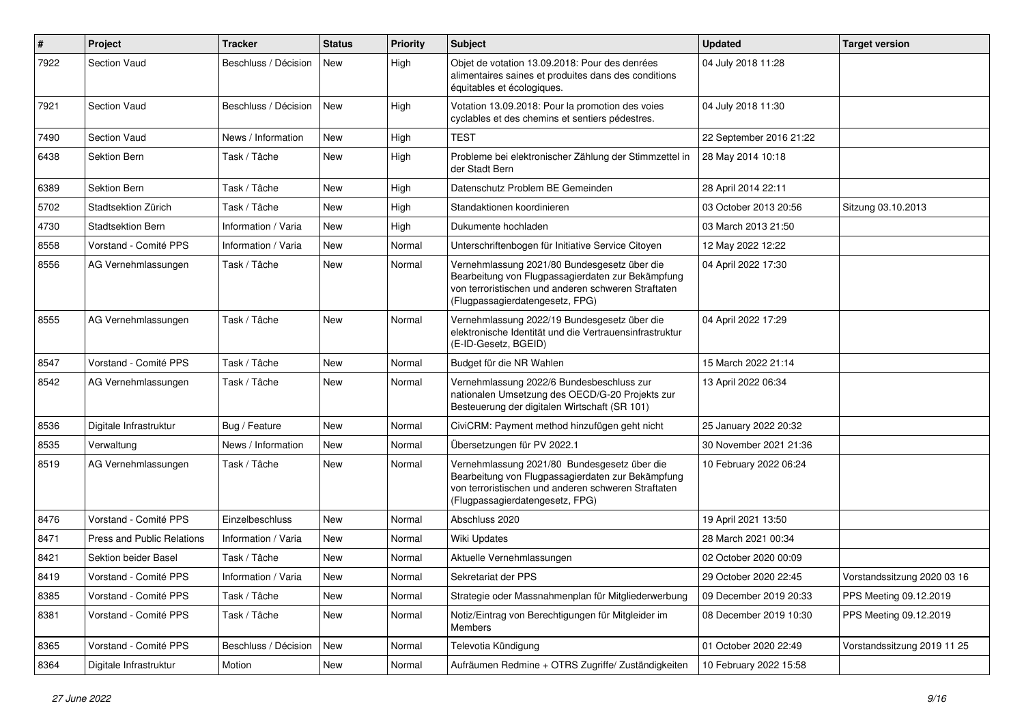| $\sharp$ | Project                           | <b>Tracker</b>       | <b>Status</b> | <b>Priority</b> | <b>Subject</b>                                                                                                                                                                              | <b>Updated</b>          | <b>Target version</b>       |
|----------|-----------------------------------|----------------------|---------------|-----------------|---------------------------------------------------------------------------------------------------------------------------------------------------------------------------------------------|-------------------------|-----------------------------|
| 7922     | Section Vaud                      | Beschluss / Décision | New           | High            | Objet de votation 13.09.2018: Pour des denrées<br>alimentaires saines et produites dans des conditions<br>équitables et écologiques.                                                        | 04 July 2018 11:28      |                             |
| 7921     | Section Vaud                      | Beschluss / Décision | New           | High            | Votation 13.09.2018: Pour la promotion des voies<br>cyclables et des chemins et sentiers pédestres.                                                                                         | 04 July 2018 11:30      |                             |
| 7490     | Section Vaud                      | News / Information   | New           | High            | <b>TEST</b>                                                                                                                                                                                 | 22 September 2016 21:22 |                             |
| 6438     | Sektion Bern                      | Task / Tâche         | New           | High            | Probleme bei elektronischer Zählung der Stimmzettel in<br>der Stadt Bern                                                                                                                    | 28 May 2014 10:18       |                             |
| 6389     | Sektion Bern                      | Task / Tâche         | New           | High            | Datenschutz Problem BE Gemeinden                                                                                                                                                            | 28 April 2014 22:11     |                             |
| 5702     | Stadtsektion Zürich               | Task / Tâche         | New           | High            | Standaktionen koordinieren                                                                                                                                                                  | 03 October 2013 20:56   | Sitzung 03.10.2013          |
| 4730     | <b>Stadtsektion Bern</b>          | Information / Varia  | New           | High            | Dukumente hochladen                                                                                                                                                                         | 03 March 2013 21:50     |                             |
| 8558     | Vorstand - Comité PPS             | Information / Varia  | New           | Normal          | Unterschriftenbogen für Initiative Service Citoyen                                                                                                                                          | 12 May 2022 12:22       |                             |
| 8556     | AG Vernehmlassungen               | Task / Tâche         | New           | Normal          | Vernehmlassung 2021/80 Bundesgesetz über die<br>Bearbeitung von Flugpassagierdaten zur Bekämpfung<br>von terroristischen und anderen schweren Straftaten<br>(Flugpassagierdatengesetz, FPG) | 04 April 2022 17:30     |                             |
| 8555     | AG Vernehmlassungen               | Task / Tâche         | New           | Normal          | Vernehmlassung 2022/19 Bundesgesetz über die<br>elektronische Identität und die Vertrauensinfrastruktur<br>(E-ID-Gesetz, BGEID)                                                             | 04 April 2022 17:29     |                             |
| 8547     | Vorstand - Comité PPS             | Task / Tâche         | New           | Normal          | Budget für die NR Wahlen                                                                                                                                                                    | 15 March 2022 21:14     |                             |
| 8542     | AG Vernehmlassungen               | Task / Tâche         | New           | Normal          | Vernehmlassung 2022/6 Bundesbeschluss zur<br>nationalen Umsetzung des OECD/G-20 Projekts zur<br>Besteuerung der digitalen Wirtschaft (SR 101)                                               | 13 April 2022 06:34     |                             |
| 8536     | Digitale Infrastruktur            | Bug / Feature        | New           | Normal          | CiviCRM: Payment method hinzufügen geht nicht                                                                                                                                               | 25 January 2022 20:32   |                             |
| 8535     | Verwaltung                        | News / Information   | New           | Normal          | Übersetzungen für PV 2022.1                                                                                                                                                                 | 30 November 2021 21:36  |                             |
| 8519     | AG Vernehmlassungen               | Task / Tâche         | New           | Normal          | Vernehmlassung 2021/80 Bundesgesetz über die<br>Bearbeitung von Flugpassagierdaten zur Bekämpfung<br>von terroristischen und anderen schweren Straftaten<br>(Flugpassagierdatengesetz, FPG) | 10 February 2022 06:24  |                             |
| 8476     | Vorstand - Comité PPS             | Einzelbeschluss      | New           | Normal          | Abschluss 2020                                                                                                                                                                              | 19 April 2021 13:50     |                             |
| 8471     | <b>Press and Public Relations</b> | Information / Varia  | New           | Normal          | <b>Wiki Updates</b>                                                                                                                                                                         | 28 March 2021 00:34     |                             |
| 8421     | Sektion beider Basel              | Task / Tâche         | New           | Normal          | Aktuelle Vernehmlassungen                                                                                                                                                                   | 02 October 2020 00:09   |                             |
| 8419     | Vorstand - Comité PPS             | Information / Varia  | <b>New</b>    | Normal          | Sekretariat der PPS                                                                                                                                                                         | 29 October 2020 22:45   | Vorstandssitzung 2020 03 16 |
| 8385     | Vorstand - Comité PPS             | Task / Tâche         | New           | Normal          | Strategie oder Massnahmenplan für Mitgliederwerbung                                                                                                                                         | 09 December 2019 20:33  | PPS Meeting 09.12.2019      |
| 8381     | Vorstand - Comité PPS             | Task / Tâche         | New           | Normal          | Notiz/Eintrag von Berechtigungen für Mitgleider im<br>Members                                                                                                                               | 08 December 2019 10:30  | PPS Meeting 09.12.2019      |
| 8365     | Vorstand - Comité PPS             | Beschluss / Décision | New           | Normal          | Televotia Kündigung                                                                                                                                                                         | 01 October 2020 22:49   | Vorstandssitzung 2019 11 25 |
| 8364     | Digitale Infrastruktur            | Motion               | New           | Normal          | Aufräumen Redmine + OTRS Zugriffe/Zuständigkeiten                                                                                                                                           | 10 February 2022 15:58  |                             |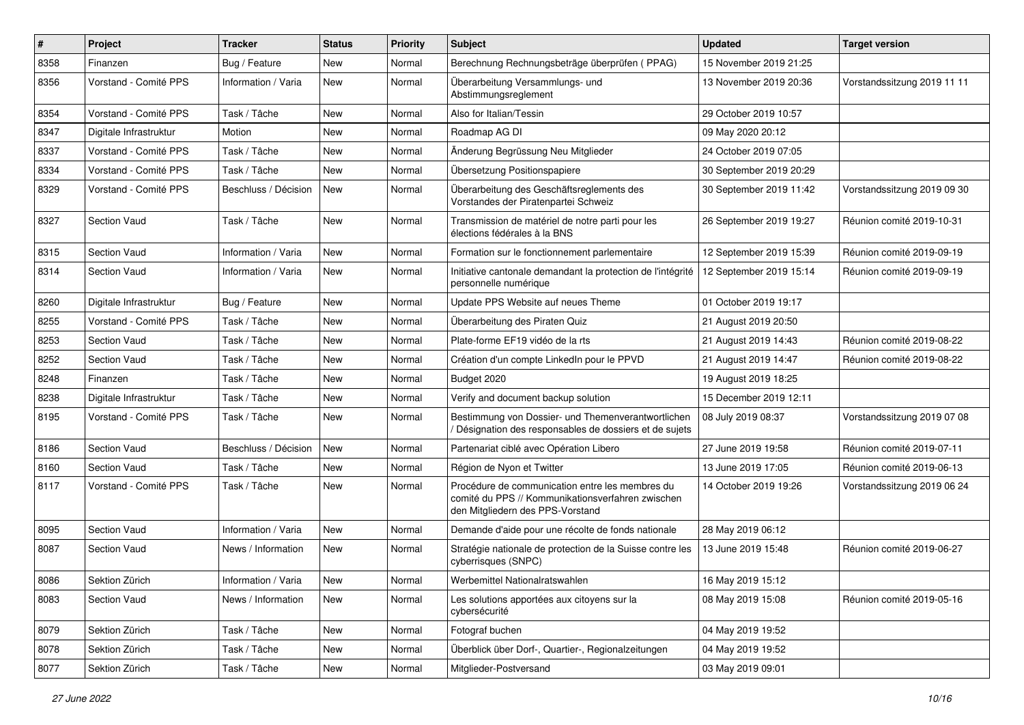| #    | Project                | <b>Tracker</b>       | <b>Status</b> | <b>Priority</b> | <b>Subject</b>                                                                                                                           | <b>Updated</b>          | <b>Target version</b>       |
|------|------------------------|----------------------|---------------|-----------------|------------------------------------------------------------------------------------------------------------------------------------------|-------------------------|-----------------------------|
| 8358 | Finanzen               | Bug / Feature        | New           | Normal          | Berechnung Rechnungsbeträge überprüfen (PPAG)                                                                                            | 15 November 2019 21:25  |                             |
| 8356 | Vorstand - Comité PPS  | Information / Varia  | <b>New</b>    | Normal          | Überarbeitung Versammlungs- und<br>Abstimmungsreglement                                                                                  | 13 November 2019 20:36  | Vorstandssitzung 2019 11 11 |
| 8354 | Vorstand - Comité PPS  | Task / Tâche         | New           | Normal          | Also for Italian/Tessin                                                                                                                  | 29 October 2019 10:57   |                             |
| 8347 | Digitale Infrastruktur | Motion               | <b>New</b>    | Normal          | Roadmap AG DI                                                                                                                            | 09 May 2020 20:12       |                             |
| 8337 | Vorstand - Comité PPS  | Task / Tâche         | New           | Normal          | Änderung Begrüssung Neu Mitglieder                                                                                                       | 24 October 2019 07:05   |                             |
| 8334 | Vorstand - Comité PPS  | Task / Tâche         | <b>New</b>    | Normal          | Übersetzung Positionspapiere                                                                                                             | 30 September 2019 20:29 |                             |
| 8329 | Vorstand - Comité PPS  | Beschluss / Décision | New           | Normal          | Überarbeitung des Geschäftsreglements des<br>Vorstandes der Piratenpartei Schweiz                                                        | 30 September 2019 11:42 | Vorstandssitzung 2019 09 30 |
| 8327 | <b>Section Vaud</b>    | Task / Tâche         | <b>New</b>    | Normal          | Transmission de matériel de notre parti pour les<br>élections fédérales à la BNS                                                         | 26 September 2019 19:27 | Réunion comité 2019-10-31   |
| 8315 | <b>Section Vaud</b>    | Information / Varia  | New           | Normal          | Formation sur le fonctionnement parlementaire                                                                                            | 12 September 2019 15:39 | Réunion comité 2019-09-19   |
| 8314 | Section Vaud           | Information / Varia  | New           | Normal          | Initiative cantonale demandant la protection de l'intégrité<br>personnelle numérique                                                     | 12 September 2019 15:14 | Réunion comité 2019-09-19   |
| 8260 | Digitale Infrastruktur | Bug / Feature        | <b>New</b>    | Normal          | Update PPS Website auf neues Theme                                                                                                       | 01 October 2019 19:17   |                             |
| 8255 | Vorstand - Comité PPS  | Task / Tâche         | New           | Normal          | Überarbeitung des Piraten Quiz                                                                                                           | 21 August 2019 20:50    |                             |
| 8253 | <b>Section Vaud</b>    | Task / Tâche         | New           | Normal          | Plate-forme EF19 vidéo de la rts                                                                                                         | 21 August 2019 14:43    | Réunion comité 2019-08-22   |
| 8252 | <b>Section Vaud</b>    | Task / Tâche         | <b>New</b>    | Normal          | Création d'un compte LinkedIn pour le PPVD                                                                                               | 21 August 2019 14:47    | Réunion comité 2019-08-22   |
| 8248 | Finanzen               | Task / Tâche         | New           | Normal          | Budget 2020                                                                                                                              | 19 August 2019 18:25    |                             |
| 8238 | Digitale Infrastruktur | Task / Tâche         | New           | Normal          | Verify and document backup solution                                                                                                      | 15 December 2019 12:11  |                             |
| 8195 | Vorstand - Comité PPS  | Task / Tâche         | <b>New</b>    | Normal          | Bestimmung von Dossier- und Themenverantwortlichen<br>Désignation des responsables de dossiers et de sujets                              | 08 July 2019 08:37      | Vorstandssitzung 2019 07 08 |
| 8186 | <b>Section Vaud</b>    | Beschluss / Décision | <b>New</b>    | Normal          | Partenariat ciblé avec Opération Libero                                                                                                  | 27 June 2019 19:58      | Réunion comité 2019-07-11   |
| 8160 | <b>Section Vaud</b>    | Task / Tâche         | New           | Normal          | Région de Nyon et Twitter                                                                                                                | 13 June 2019 17:05      | Réunion comité 2019-06-13   |
| 8117 | Vorstand - Comité PPS  | Task / Tâche         | New           | Normal          | Procédure de communication entre les membres du<br>comité du PPS // Kommunikationsverfahren zwischen<br>den Mitgliedern des PPS-Vorstand | 14 October 2019 19:26   | Vorstandssitzung 2019 06 24 |
| 8095 | Section Vaud           | Information / Varia  | <b>New</b>    | Normal          | Demande d'aide pour une récolte de fonds nationale                                                                                       | 28 May 2019 06:12       |                             |
| 8087 | <b>Section Vaud</b>    | News / Information   | New           | Normal          | Stratégie nationale de protection de la Suisse contre les<br>cyberrisques (SNPC)                                                         | 13 June 2019 15:48      | Réunion comité 2019-06-27   |
| 8086 | Sektion Zürich         | Information / Varia  | New           | Normal          | Werbemittel Nationalratswahlen                                                                                                           | 16 May 2019 15:12       |                             |
| 8083 | Section Vaud           | News / Information   | New           | Normal          | Les solutions apportées aux citoyens sur la<br>cybersécurité                                                                             | 08 May 2019 15:08       | Réunion comité 2019-05-16   |
| 8079 | Sektion Zürich         | Task / Tâche         | New           | Normal          | Fotograf buchen                                                                                                                          | 04 May 2019 19:52       |                             |
| 8078 | Sektion Zürich         | Task / Tâche         | New           | Normal          | Überblick über Dorf-, Quartier-, Regionalzeitungen                                                                                       | 04 May 2019 19:52       |                             |
| 8077 | Sektion Zürich         | Task / Tâche         | New           | Normal          | Mitglieder-Postversand                                                                                                                   | 03 May 2019 09:01       |                             |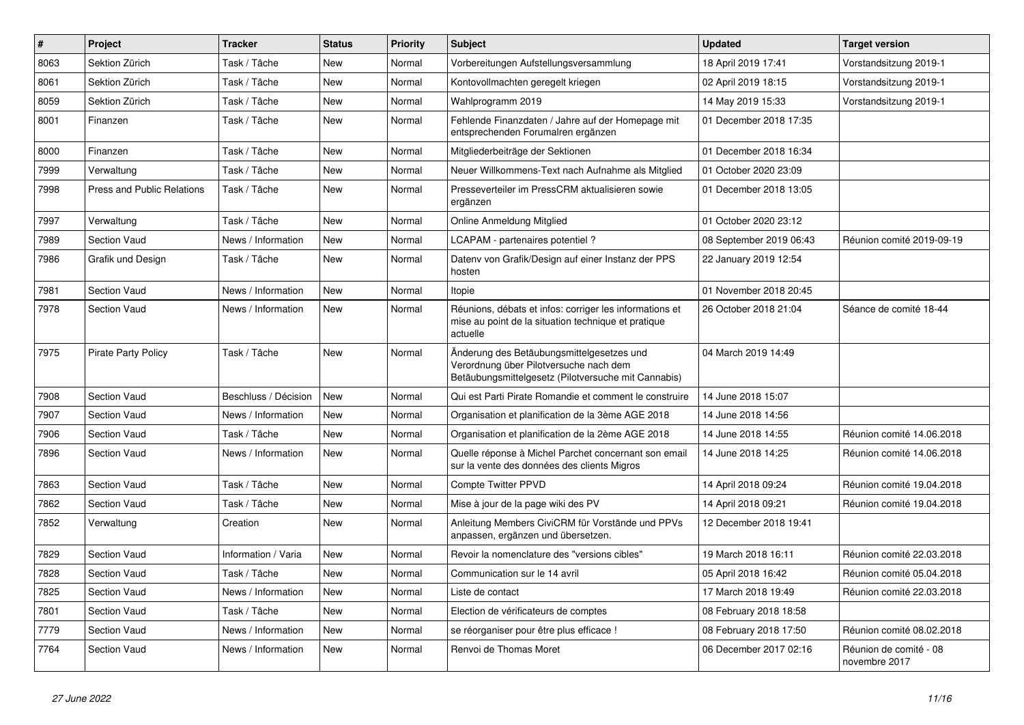| $\vert$ # | Project                           | <b>Tracker</b>       | <b>Status</b> | <b>Priority</b> | <b>Subject</b>                                                                                                                             | <b>Updated</b>          | <b>Target version</b>                   |
|-----------|-----------------------------------|----------------------|---------------|-----------------|--------------------------------------------------------------------------------------------------------------------------------------------|-------------------------|-----------------------------------------|
| 8063      | Sektion Zürich                    | Task / Tâche         | <b>New</b>    | Normal          | Vorbereitungen Aufstellungsversammlung                                                                                                     | 18 April 2019 17:41     | Vorstandsitzung 2019-1                  |
| 8061      | Sektion Zürich                    | Task / Tâche         | <b>New</b>    | Normal          | Kontovollmachten geregelt kriegen                                                                                                          | 02 April 2019 18:15     | Vorstandsitzung 2019-1                  |
| 8059      | Sektion Zürich                    | Task / Tâche         | New           | Normal          | Wahlprogramm 2019                                                                                                                          | 14 May 2019 15:33       | Vorstandsitzung 2019-1                  |
| 8001      | Finanzen                          | Task / Tâche         | New           | Normal          | Fehlende Finanzdaten / Jahre auf der Homepage mit<br>entsprechenden Forumalren ergänzen                                                    | 01 December 2018 17:35  |                                         |
| 8000      | Finanzen                          | Task / Tâche         | New           | Normal          | Mitgliederbeiträge der Sektionen                                                                                                           | 01 December 2018 16:34  |                                         |
| 7999      | Verwaltung                        | Task / Tâche         | <b>New</b>    | Normal          | Neuer Willkommens-Text nach Aufnahme als Mitglied                                                                                          | 01 October 2020 23:09   |                                         |
| 7998      | <b>Press and Public Relations</b> | Task / Tâche         | <b>New</b>    | Normal          | Presseverteiler im PressCRM aktualisieren sowie<br>ergänzen                                                                                | 01 December 2018 13:05  |                                         |
| 7997      | Verwaltung                        | Task / Tâche         | <b>New</b>    | Normal          | Online Anmeldung Mitglied                                                                                                                  | 01 October 2020 23:12   |                                         |
| 7989      | <b>Section Vaud</b>               | News / Information   | <b>New</b>    | Normal          | LCAPAM - partenaires potentiel?                                                                                                            | 08 September 2019 06:43 | Réunion comité 2019-09-19               |
| 7986      | Grafik und Design                 | Task / Tâche         | <b>New</b>    | Normal          | Datenv von Grafik/Design auf einer Instanz der PPS<br>hosten                                                                               | 22 January 2019 12:54   |                                         |
| 7981      | <b>Section Vaud</b>               | News / Information   | New           | Normal          | Itopie                                                                                                                                     | 01 November 2018 20:45  |                                         |
| 7978      | Section Vaud                      | News / Information   | <b>New</b>    | Normal          | Réunions, débats et infos: corriger les informations et<br>mise au point de la situation technique et pratique<br>actuelle                 | 26 October 2018 21:04   | Séance de comité 18-44                  |
| 7975      | <b>Pirate Party Policy</b>        | Task / Tâche         | <b>New</b>    | Normal          | Änderung des Betäubungsmittelgesetzes und<br>Verordnung über Pilotversuche nach dem<br>Betäubungsmittelgesetz (Pilotversuche mit Cannabis) | 04 March 2019 14:49     |                                         |
| 7908      | Section Vaud                      | Beschluss / Décision | <b>New</b>    | Normal          | Qui est Parti Pirate Romandie et comment le construire                                                                                     | 14 June 2018 15:07      |                                         |
| 7907      | <b>Section Vaud</b>               | News / Information   | New           | Normal          | Organisation et planification de la 3ème AGE 2018                                                                                          | 14 June 2018 14:56      |                                         |
| 7906      | Section Vaud                      | Task / Tâche         | New           | Normal          | Organisation et planification de la 2ème AGE 2018                                                                                          | 14 June 2018 14:55      | Réunion comité 14.06.2018               |
| 7896      | Section Vaud                      | News / Information   | <b>New</b>    | Normal          | Quelle réponse à Michel Parchet concernant son email<br>sur la vente des données des clients Migros                                        | 14 June 2018 14:25      | Réunion comité 14.06.2018               |
| 7863      | <b>Section Vaud</b>               | Task / Tâche         | <b>New</b>    | Normal          | <b>Compte Twitter PPVD</b>                                                                                                                 | 14 April 2018 09:24     | Réunion comité 19.04.2018               |
| 7862      | <b>Section Vaud</b>               | Task / Tâche         | <b>New</b>    | Normal          | Mise à jour de la page wiki des PV                                                                                                         | 14 April 2018 09:21     | Réunion comité 19.04.2018               |
| 7852      | Verwaltung                        | Creation             | <b>New</b>    | Normal          | Anleitung Members CiviCRM für Vorstände und PPVs<br>anpassen, ergänzen und übersetzen.                                                     | 12 December 2018 19:41  |                                         |
| 7829      | <b>Section Vaud</b>               | Information / Varia  | New           | Normal          | Revoir la nomenclature des "versions cibles"                                                                                               | 19 March 2018 16:11     | Réunion comité 22.03.2018               |
| 7828      | Section Vaud                      | Task / Tâche         | <b>New</b>    | Normal          | Communication sur le 14 avril                                                                                                              | 05 April 2018 16:42     | Réunion comité 05.04.2018               |
| 7825      | Section Vaud                      | News / Information   | <b>New</b>    | Normal          | Liste de contact                                                                                                                           | 17 March 2018 19:49     | Réunion comité 22.03.2018               |
| 7801      | Section Vaud                      | Task / Tâche         | <b>New</b>    | Normal          | Election de vérificateurs de comptes                                                                                                       | 08 February 2018 18:58  |                                         |
| 7779      | <b>Section Vaud</b>               | News / Information   | New           | Normal          | se réorganiser pour être plus efficace !                                                                                                   | 08 February 2018 17:50  | Réunion comité 08.02.2018               |
| 7764      | <b>Section Vaud</b>               | News / Information   | New           | Normal          | Renvoi de Thomas Moret                                                                                                                     | 06 December 2017 02:16  | Réunion de comité - 08<br>novembre 2017 |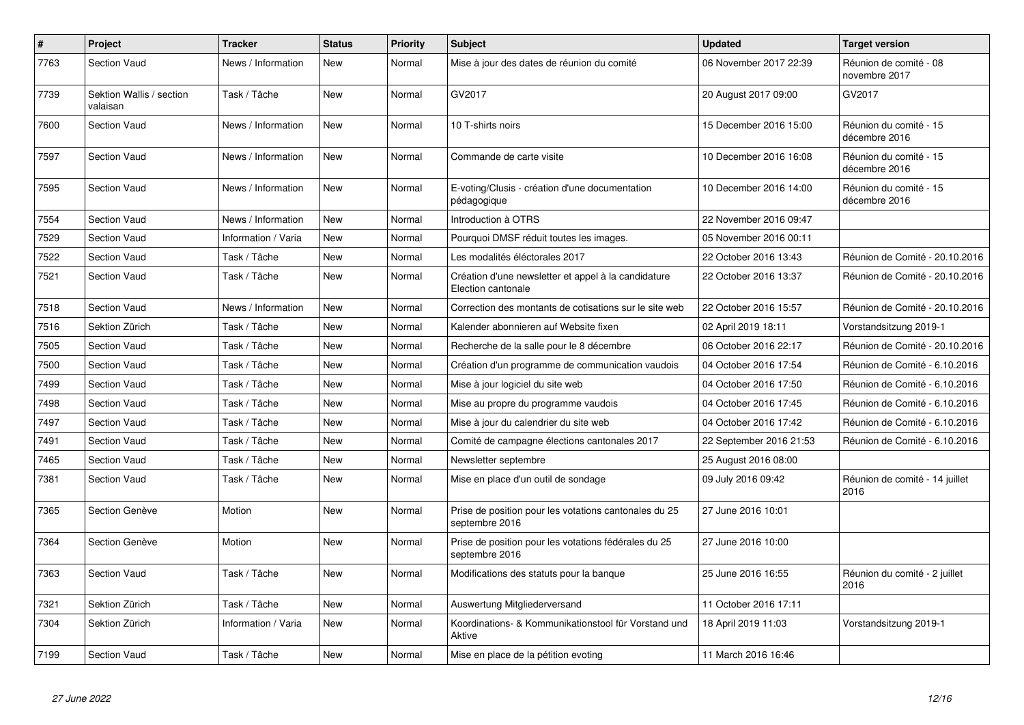| $\pmb{\#}$ | Project                              | <b>Tracker</b>      | <b>Status</b> | <b>Priority</b> | <b>Subject</b>                                                            | <b>Updated</b>          | <b>Target version</b>                   |
|------------|--------------------------------------|---------------------|---------------|-----------------|---------------------------------------------------------------------------|-------------------------|-----------------------------------------|
| 7763       | <b>Section Vaud</b>                  | News / Information  | <b>New</b>    | Normal          | Mise à jour des dates de réunion du comité                                | 06 November 2017 22:39  | Réunion de comité - 08<br>novembre 2017 |
| 7739       | Sektion Wallis / section<br>valaisan | Task / Tâche        | <b>New</b>    | Normal          | GV2017                                                                    | 20 August 2017 09:00    | GV2017                                  |
| 7600       | <b>Section Vaud</b>                  | News / Information  | <b>New</b>    | Normal          | 10 T-shirts noirs                                                         | 15 December 2016 15:00  | Réunion du comité - 15<br>décembre 2016 |
| 7597       | Section Vaud                         | News / Information  | <b>New</b>    | Normal          | Commande de carte visite                                                  | 10 December 2016 16:08  | Réunion du comité - 15<br>décembre 2016 |
| 7595       | <b>Section Vaud</b>                  | News / Information  | New           | Normal          | E-voting/Clusis - création d'une documentation<br>pédagogique             | 10 December 2016 14:00  | Réunion du comité - 15<br>décembre 2016 |
| 7554       | Section Vaud                         | News / Information  | <b>New</b>    | Normal          | Introduction à OTRS                                                       | 22 November 2016 09:47  |                                         |
| 7529       | <b>Section Vaud</b>                  | Information / Varia | New           | Normal          | Pourquoi DMSF réduit toutes les images.                                   | 05 November 2016 00:11  |                                         |
| 7522       | <b>Section Vaud</b>                  | Task / Tâche        | <b>New</b>    | Normal          | Les modalités éléctorales 2017                                            | 22 October 2016 13:43   | Réunion de Comité - 20.10.2016          |
| 7521       | <b>Section Vaud</b>                  | Task / Tâche        | New           | Normal          | Création d'une newsletter et appel à la candidature<br>Election cantonale | 22 October 2016 13:37   | Réunion de Comité - 20.10.2016          |
| 7518       | Section Vaud                         | News / Information  | New           | Normal          | Correction des montants de cotisations sur le site web                    | 22 October 2016 15:57   | Réunion de Comité - 20.10.2016          |
| 7516       | Sektion Zürich                       | Task / Tâche        | <b>New</b>    | Normal          | Kalender abonnieren auf Website fixen                                     | 02 April 2019 18:11     | Vorstandsitzung 2019-1                  |
| 7505       | Section Vaud                         | Task / Tâche        | New           | Normal          | Recherche de la salle pour le 8 décembre                                  | 06 October 2016 22:17   | Réunion de Comité - 20.10.2016          |
| 7500       | <b>Section Vaud</b>                  | Task / Tâche        | New           | Normal          | Création d'un programme de communication vaudois                          | 04 October 2016 17:54   | Réunion de Comité - 6.10.2016           |
| 7499       | <b>Section Vaud</b>                  | Task / Tâche        | New           | Normal          | Mise à jour logiciel du site web                                          | 04 October 2016 17:50   | Réunion de Comité - 6.10.2016           |
| 7498       | <b>Section Vaud</b>                  | Task / Tâche        | <b>New</b>    | Normal          | Mise au propre du programme vaudois                                       | 04 October 2016 17:45   | Réunion de Comité - 6.10.2016           |
| 7497       | <b>Section Vaud</b>                  | Task / Tâche        | New           | Normal          | Mise à jour du calendrier du site web                                     | 04 October 2016 17:42   | Réunion de Comité - 6.10.2016           |
| 7491       | <b>Section Vaud</b>                  | Task / Tâche        | <b>New</b>    | Normal          | Comité de campagne élections cantonales 2017                              | 22 September 2016 21:53 | Réunion de Comité - 6.10.2016           |
| 7465       | <b>Section Vaud</b>                  | Task / Tâche        | <b>New</b>    | Normal          | Newsletter septembre                                                      | 25 August 2016 08:00    |                                         |
| 7381       | <b>Section Vaud</b>                  | Task / Tâche        | <b>New</b>    | Normal          | Mise en place d'un outil de sondage                                       | 09 July 2016 09:42      | Réunion de comité - 14 juillet<br>2016  |
| 7365       | Section Genève                       | Motion              | <b>New</b>    | Normal          | Prise de position pour les votations cantonales du 25<br>septembre 2016   | 27 June 2016 10:01      |                                         |
| 7364       | Section Genève                       | Motion              | <b>New</b>    | Normal          | Prise de position pour les votations fédérales du 25<br>septembre 2016    | 27 June 2016 10:00      |                                         |
| 7363       | <b>Section Vaud</b>                  | Task / Tâche        | New           | Normal          | Modifications des statuts pour la banque                                  | 25 June 2016 16:55      | Réunion du comité - 2 juillet<br>2016   |
| 7321       | Sektion Zürich                       | Task / Tâche        | <b>New</b>    | Normal          | Auswertung Mitgliederversand                                              | 11 October 2016 17:11   |                                         |
| 7304       | Sektion Zürich                       | Information / Varia | <b>New</b>    | Normal          | Koordinations- & Kommunikationstool für Vorstand und<br>Aktive            | 18 April 2019 11:03     | Vorstandsitzung 2019-1                  |
| 7199       | <b>Section Vaud</b>                  | Task / Tâche        | New           | Normal          | Mise en place de la pétition evoting                                      | 11 March 2016 16:46     |                                         |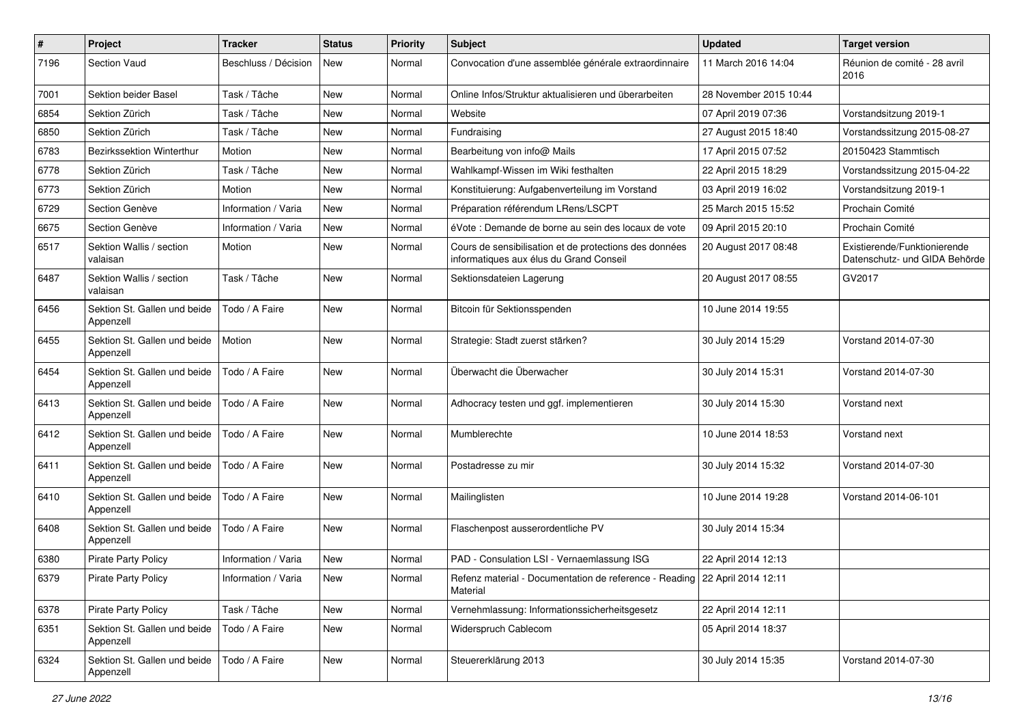| $\pmb{\#}$ | Project                                   | <b>Tracker</b>       | <b>Status</b> | <b>Priority</b> | Subject                                                                                           | <b>Updated</b>         | <b>Target version</b>                                         |
|------------|-------------------------------------------|----------------------|---------------|-----------------|---------------------------------------------------------------------------------------------------|------------------------|---------------------------------------------------------------|
| 7196       | Section Vaud                              | Beschluss / Décision | New           | Normal          | Convocation d'une assemblée générale extraordinnaire                                              | 11 March 2016 14:04    | Réunion de comité - 28 avril<br>2016                          |
| 7001       | <b>Sektion beider Basel</b>               | Task / Tâche         | New           | Normal          | Online Infos/Struktur aktualisieren und überarbeiten                                              | 28 November 2015 10:44 |                                                               |
| 6854       | Sektion Zürich                            | Task / Tâche         | <b>New</b>    | Normal          | Website                                                                                           | 07 April 2019 07:36    | Vorstandsitzung 2019-1                                        |
| 6850       | Sektion Zürich                            | Task / Tâche         | <b>New</b>    | Normal          | Fundraising                                                                                       | 27 August 2015 18:40   | Vorstandssitzung 2015-08-27                                   |
| 6783       | Bezirkssektion Winterthur                 | Motion               | New           | Normal          | Bearbeitung von info@ Mails                                                                       | 17 April 2015 07:52    | 20150423 Stammtisch                                           |
| 6778       | Sektion Zürich                            | Task / Tâche         | New           | Normal          | Wahlkampf-Wissen im Wiki festhalten                                                               | 22 April 2015 18:29    | Vorstandssitzung 2015-04-22                                   |
| 6773       | Sektion Zürich                            | Motion               | New           | Normal          | Konstituierung: Aufgabenverteilung im Vorstand                                                    | 03 April 2019 16:02    | Vorstandsitzung 2019-1                                        |
| 6729       | Section Genève                            | Information / Varia  | <b>New</b>    | Normal          | Préparation référendum LRens/LSCPT                                                                | 25 March 2015 15:52    | Prochain Comité                                               |
| 6675       | Section Genève                            | Information / Varia  | <b>New</b>    | Normal          | éVote : Demande de borne au sein des locaux de vote                                               | 09 April 2015 20:10    | Prochain Comité                                               |
| 6517       | Sektion Wallis / section<br>valaisan      | Motion               | New           | Normal          | Cours de sensibilisation et de protections des données<br>informatiques aux élus du Grand Conseil | 20 August 2017 08:48   | Existierende/Funktionierende<br>Datenschutz- und GIDA Behörde |
| 6487       | Sektion Wallis / section<br>valaisan      | Task / Tâche         | New           | Normal          | Sektionsdateien Lagerung                                                                          | 20 August 2017 08:55   | GV2017                                                        |
| 6456       | Sektion St. Gallen und beide<br>Appenzell | Todo / A Faire       | <b>New</b>    | Normal          | Bitcoin für Sektionsspenden                                                                       | 10 June 2014 19:55     |                                                               |
| 6455       | Sektion St. Gallen und beide<br>Appenzell | Motion               | <b>New</b>    | Normal          | Strategie: Stadt zuerst stärken?                                                                  | 30 July 2014 15:29     | Vorstand 2014-07-30                                           |
| 6454       | Sektion St. Gallen und beide<br>Appenzell | Todo / A Faire       | New           | Normal          | Überwacht die Überwacher                                                                          | 30 July 2014 15:31     | Vorstand 2014-07-30                                           |
| 6413       | Sektion St. Gallen und beide<br>Appenzell | Todo / A Faire       | <b>New</b>    | Normal          | Adhocracy testen und ggf. implementieren                                                          | 30 July 2014 15:30     | Vorstand next                                                 |
| 6412       | Sektion St. Gallen und beide<br>Appenzell | Todo / A Faire       | <b>New</b>    | Normal          | Mumblerechte                                                                                      | 10 June 2014 18:53     | Vorstand next                                                 |
| 6411       | Sektion St. Gallen und beide<br>Appenzell | Todo / A Faire       | New           | Normal          | Postadresse zu mir                                                                                | 30 July 2014 15:32     | Vorstand 2014-07-30                                           |
| 6410       | Sektion St. Gallen und beide<br>Appenzell | Todo / A Faire       | New           | Normal          | Mailinglisten                                                                                     | 10 June 2014 19:28     | Vorstand 2014-06-101                                          |
| 6408       | Sektion St. Gallen und beide<br>Appenzell | Todo / A Faire       | <b>New</b>    | Normal          | Flaschenpost ausserordentliche PV                                                                 | 30 July 2014 15:34     |                                                               |
| 6380       | <b>Pirate Party Policy</b>                | Information / Varia  | New           | Normal          | PAD - Consulation LSI - Vernaemlassung ISG                                                        | 22 April 2014 12:13    |                                                               |
| 6379       | Pirate Party Policy                       | Information / Varia  | New           | Normal          | Refenz material - Documentation de reference - Reading   22 April 2014 12:11<br>Material          |                        |                                                               |
| 6378       | Pirate Party Policy                       | Task / Tâche         | New           | Normal          | Vernehmlassung: Informationssicherheitsgesetz                                                     | 22 April 2014 12:11    |                                                               |
| 6351       | Sektion St. Gallen und beide<br>Appenzell | Todo / A Faire       | New           | Normal          | Widerspruch Cablecom                                                                              | 05 April 2014 18:37    |                                                               |
| 6324       | Sektion St. Gallen und beide<br>Appenzell | Todo / A Faire       | New           | Normal          | Steuererklärung 2013                                                                              | 30 July 2014 15:35     | Vorstand 2014-07-30                                           |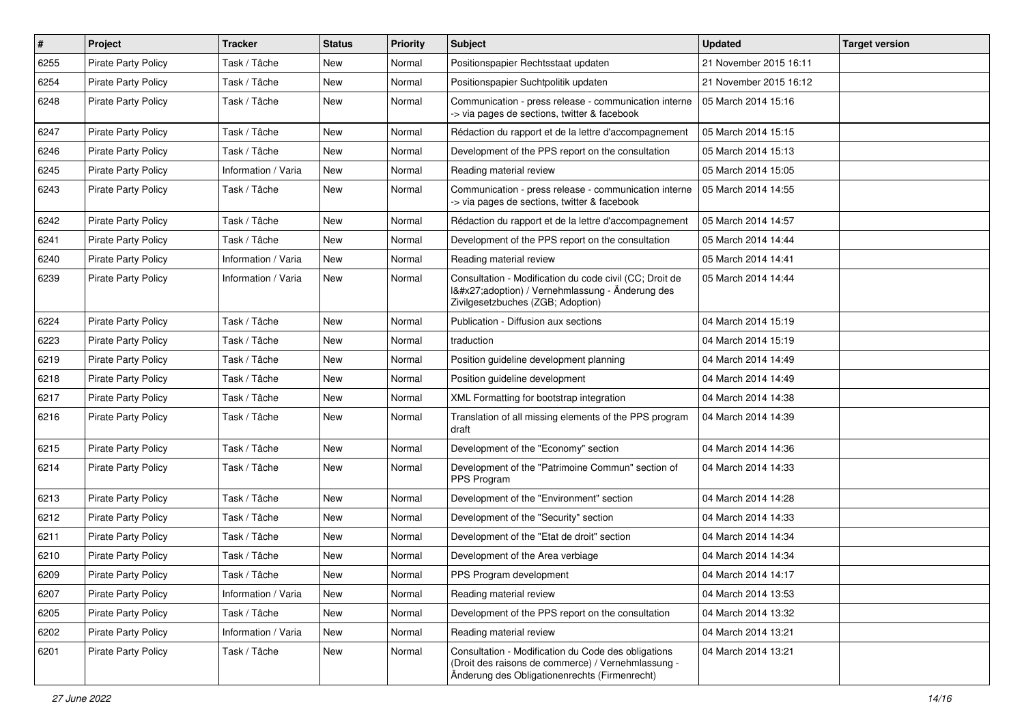| $\sharp$ | Project                    | <b>Tracker</b>      | <b>Status</b> | <b>Priority</b> | Subject                                                                                                                                                    | <b>Updated</b>         | <b>Target version</b> |
|----------|----------------------------|---------------------|---------------|-----------------|------------------------------------------------------------------------------------------------------------------------------------------------------------|------------------------|-----------------------|
| 6255     | <b>Pirate Party Policy</b> | Task / Tâche        | <b>New</b>    | Normal          | Positionspapier Rechtsstaat updaten                                                                                                                        | 21 November 2015 16:11 |                       |
| 6254     | <b>Pirate Party Policy</b> | Task / Tâche        | <b>New</b>    | Normal          | Positionspapier Suchtpolitik updaten                                                                                                                       | 21 November 2015 16:12 |                       |
| 6248     | <b>Pirate Party Policy</b> | Task / Tâche        | <b>New</b>    | Normal          | Communication - press release - communication interne<br>-> via pages de sections, twitter & facebook                                                      | 05 March 2014 15:16    |                       |
| 6247     | Pirate Party Policy        | Task / Tâche        | <b>New</b>    | Normal          | Rédaction du rapport et de la lettre d'accompagnement                                                                                                      | 05 March 2014 15:15    |                       |
| 6246     | <b>Pirate Party Policy</b> | Task / Tâche        | New           | Normal          | Development of the PPS report on the consultation                                                                                                          | 05 March 2014 15:13    |                       |
| 6245     | Pirate Party Policy        | Information / Varia | <b>New</b>    | Normal          | Reading material review                                                                                                                                    | 05 March 2014 15:05    |                       |
| 6243     | <b>Pirate Party Policy</b> | Task / Tâche        | New           | Normal          | Communication - press release - communication interne<br>-> via pages de sections, twitter & facebook                                                      | 05 March 2014 14:55    |                       |
| 6242     | <b>Pirate Party Policy</b> | Task / Tâche        | <b>New</b>    | Normal          | Rédaction du rapport et de la lettre d'accompagnement                                                                                                      | 05 March 2014 14:57    |                       |
| 6241     | <b>Pirate Party Policy</b> | Task / Tâche        | New           | Normal          | Development of the PPS report on the consultation                                                                                                          | 05 March 2014 14:44    |                       |
| 6240     | <b>Pirate Party Policy</b> | Information / Varia | New           | Normal          | Reading material review                                                                                                                                    | 05 March 2014 14:41    |                       |
| 6239     | <b>Pirate Party Policy</b> | Information / Varia | New           | Normal          | Consultation - Modification du code civil (CC; Droit de<br>I'adoption) / Vernehmlassung - Änderung des<br>Zivilgesetzbuches (ZGB; Adoption)                | 05 March 2014 14:44    |                       |
| 6224     | <b>Pirate Party Policy</b> | Task / Tâche        | New           | Normal          | Publication - Diffusion aux sections                                                                                                                       | 04 March 2014 15:19    |                       |
| 6223     | <b>Pirate Party Policy</b> | Task / Tâche        | <b>New</b>    | Normal          | traduction                                                                                                                                                 | 04 March 2014 15:19    |                       |
| 6219     | <b>Pirate Party Policy</b> | Task / Tâche        | <b>New</b>    | Normal          | Position guideline development planning                                                                                                                    | 04 March 2014 14:49    |                       |
| 6218     | <b>Pirate Party Policy</b> | Task / Tâche        | New           | Normal          | Position guideline development                                                                                                                             | 04 March 2014 14:49    |                       |
| 6217     | Pirate Party Policy        | Task / Tâche        | <b>New</b>    | Normal          | XML Formatting for bootstrap integration                                                                                                                   | 04 March 2014 14:38    |                       |
| 6216     | <b>Pirate Party Policy</b> | Task / Tâche        | New           | Normal          | Translation of all missing elements of the PPS program<br>draft                                                                                            | 04 March 2014 14:39    |                       |
| 6215     | <b>Pirate Party Policy</b> | Task / Tâche        | <b>New</b>    | Normal          | Development of the "Economy" section                                                                                                                       | 04 March 2014 14:36    |                       |
| 6214     | <b>Pirate Party Policy</b> | Task / Tâche        | New           | Normal          | Development of the "Patrimoine Commun" section of<br>PPS Program                                                                                           | 04 March 2014 14:33    |                       |
| 6213     | <b>Pirate Party Policy</b> | Task / Tâche        | <b>New</b>    | Normal          | Development of the "Environment" section                                                                                                                   | 04 March 2014 14:28    |                       |
| 6212     | <b>Pirate Party Policy</b> | Task / Tâche        | New           | Normal          | Development of the "Security" section                                                                                                                      | 04 March 2014 14:33    |                       |
| 6211     | Pirate Party Policy        | Task / Tâche        | <b>New</b>    | Normal          | Development of the "Etat de droit" section                                                                                                                 | 04 March 2014 14:34    |                       |
| 6210     | <b>Pirate Party Policy</b> | Task / Tâche        | <b>New</b>    | Normal          | Development of the Area verbiage                                                                                                                           | 04 March 2014 14:34    |                       |
| 6209     | <b>Pirate Party Policy</b> | Task / Tâche        | New           | Normal          | PPS Program development                                                                                                                                    | 04 March 2014 14:17    |                       |
| 6207     | Pirate Party Policy        | Information / Varia | New           | Normal          | Reading material review                                                                                                                                    | 04 March 2014 13:53    |                       |
| 6205     | <b>Pirate Party Policy</b> | Task / Tâche        | New           | Normal          | Development of the PPS report on the consultation                                                                                                          | 04 March 2014 13:32    |                       |
| 6202     | <b>Pirate Party Policy</b> | Information / Varia | New           | Normal          | Reading material review                                                                                                                                    | 04 March 2014 13:21    |                       |
| 6201     | Pirate Party Policy        | Task / Tâche        | New           | Normal          | Consultation - Modification du Code des obligations<br>(Droit des raisons de commerce) / Vernehmlassung -<br>Änderung des Obligationenrechts (Firmenrecht) | 04 March 2014 13:21    |                       |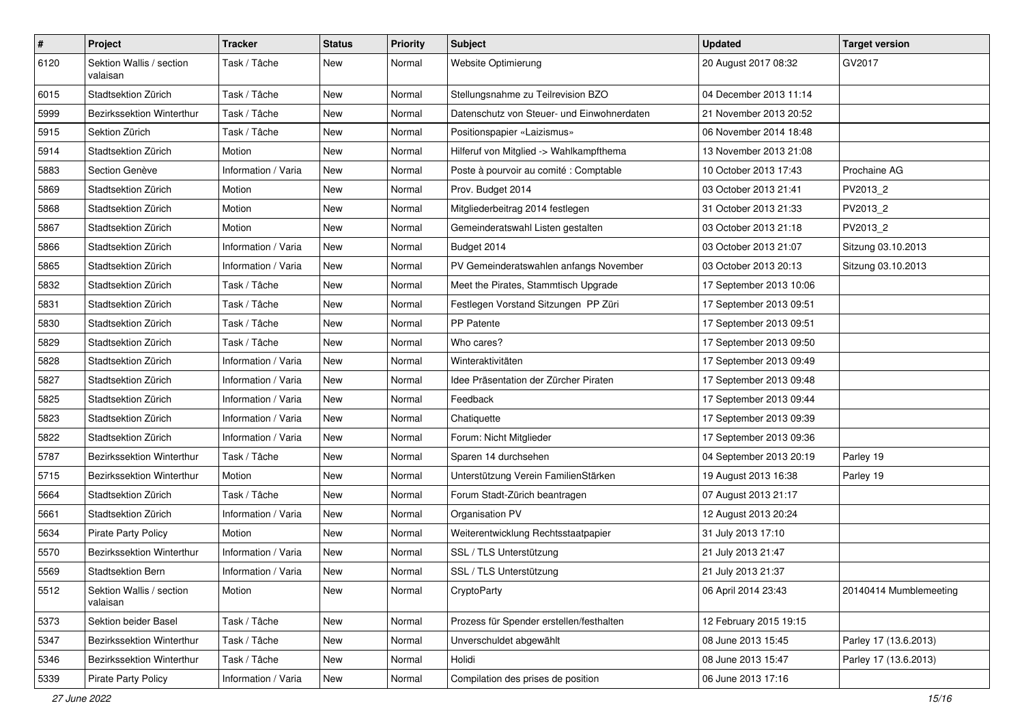| $\sharp$ | Project                              | <b>Tracker</b>      | <b>Status</b> | <b>Priority</b> | <b>Subject</b>                             | <b>Updated</b>          | <b>Target version</b>  |
|----------|--------------------------------------|---------------------|---------------|-----------------|--------------------------------------------|-------------------------|------------------------|
| 6120     | Sektion Wallis / section<br>valaisan | Task / Tâche        | New           | Normal          | Website Optimierung                        | 20 August 2017 08:32    | GV2017                 |
| 6015     | Stadtsektion Zürich                  | Task / Tâche        | New           | Normal          | Stellungsnahme zu Teilrevision BZO         | 04 December 2013 11:14  |                        |
| 5999     | Bezirkssektion Winterthur            | Task / Tâche        | New           | Normal          | Datenschutz von Steuer- und Einwohnerdaten | 21 November 2013 20:52  |                        |
| 5915     | Sektion Zürich                       | Task / Tâche        | New           | Normal          | Positionspapier «Laizismus»                | 06 November 2014 18:48  |                        |
| 5914     | Stadtsektion Zürich                  | Motion              | New           | Normal          | Hilferuf von Mitglied -> Wahlkampfthema    | 13 November 2013 21:08  |                        |
| 5883     | Section Genève                       | Information / Varia | <b>New</b>    | Normal          | Poste à pourvoir au comité : Comptable     | 10 October 2013 17:43   | Prochaine AG           |
| 5869     | Stadtsektion Zürich                  | Motion              | <b>New</b>    | Normal          | Prov. Budget 2014                          | 03 October 2013 21:41   | PV2013_2               |
| 5868     | Stadtsektion Zürich                  | Motion              | New           | Normal          | Mitgliederbeitrag 2014 festlegen           | 31 October 2013 21:33   | PV2013 2               |
| 5867     | Stadtsektion Zürich                  | Motion              | <b>New</b>    | Normal          | Gemeinderatswahl Listen gestalten          | 03 October 2013 21:18   | PV2013_2               |
| 5866     | Stadtsektion Zürich                  | Information / Varia | New           | Normal          | Budget 2014                                | 03 October 2013 21:07   | Sitzung 03.10.2013     |
| 5865     | Stadtsektion Zürich                  | Information / Varia | <b>New</b>    | Normal          | PV Gemeinderatswahlen anfangs November     | 03 October 2013 20:13   | Sitzung 03.10.2013     |
| 5832     | Stadtsektion Zürich                  | Task / Tâche        | <b>New</b>    | Normal          | Meet the Pirates, Stammtisch Upgrade       | 17 September 2013 10:06 |                        |
| 5831     | Stadtsektion Zürich                  | Task / Tâche        | New           | Normal          | Festlegen Vorstand Sitzungen PP Züri       | 17 September 2013 09:51 |                        |
| 5830     | Stadtsektion Zürich                  | Task / Tâche        | <b>New</b>    | Normal          | PP Patente                                 | 17 September 2013 09:51 |                        |
| 5829     | Stadtsektion Zürich                  | Task / Tâche        | <b>New</b>    | Normal          | Who cares?                                 | 17 September 2013 09:50 |                        |
| 5828     | Stadtsektion Zürich                  | Information / Varia | New           | Normal          | Winteraktivitäten                          | 17 September 2013 09:49 |                        |
| 5827     | Stadtsektion Zürich                  | Information / Varia | <b>New</b>    | Normal          | Idee Präsentation der Zürcher Piraten      | 17 September 2013 09:48 |                        |
| 5825     | Stadtsektion Zürich                  | Information / Varia | New           | Normal          | Feedback                                   | 17 September 2013 09:44 |                        |
| 5823     | Stadtsektion Zürich                  | Information / Varia | <b>New</b>    | Normal          | Chatiquette                                | 17 September 2013 09:39 |                        |
| 5822     | Stadtsektion Zürich                  | Information / Varia | New           | Normal          | Forum: Nicht Mitglieder                    | 17 September 2013 09:36 |                        |
| 5787     | Bezirkssektion Winterthur            | Task / Tâche        | New           | Normal          | Sparen 14 durchsehen                       | 04 September 2013 20:19 | Parley 19              |
| 5715     | Bezirkssektion Winterthur            | Motion              | <b>New</b>    | Normal          | Unterstützung Verein FamilienStärken       | 19 August 2013 16:38    | Parley 19              |
| 5664     | Stadtsektion Zürich                  | Task / Tâche        | New           | Normal          | Forum Stadt-Zürich beantragen              | 07 August 2013 21:17    |                        |
| 5661     | Stadtsektion Zürich                  | Information / Varia | <b>New</b>    | Normal          | Organisation PV                            | 12 August 2013 20:24    |                        |
| 5634     | <b>Pirate Party Policy</b>           | Motion              | New           | Normal          | Weiterentwicklung Rechtsstaatpapier        | 31 July 2013 17:10      |                        |
| 5570     | Bezirkssektion Winterthur            | Information / Varia | New           | Normal          | SSL / TLS Unterstützung                    | 21 July 2013 21:47      |                        |
| 5569     | Stadtsektion Bern                    | Information / Varia | <b>New</b>    | Normal          | SSL / TLS Unterstützung                    | 21 July 2013 21:37      |                        |
| 5512     | Sektion Wallis / section<br>valaisan | Motion              | New           | Normal          | CryptoParty                                | 06 April 2014 23:43     | 20140414 Mumblemeeting |
| 5373     | Sektion beider Basel                 | Task / Tâche        | New           | Normal          | Prozess für Spender erstellen/festhalten   | 12 February 2015 19:15  |                        |
| 5347     | Bezirkssektion Winterthur            | Task / Tâche        | New           | Normal          | Unverschuldet abgewählt                    | 08 June 2013 15:45      | Parley 17 (13.6.2013)  |
| 5346     | Bezirkssektion Winterthur            | Task / Tâche        | New           | Normal          | Holidi                                     | 08 June 2013 15:47      | Parley 17 (13.6.2013)  |
| 5339     | <b>Pirate Party Policy</b>           | Information / Varia | New           | Normal          | Compilation des prises de position         | 06 June 2013 17:16      |                        |